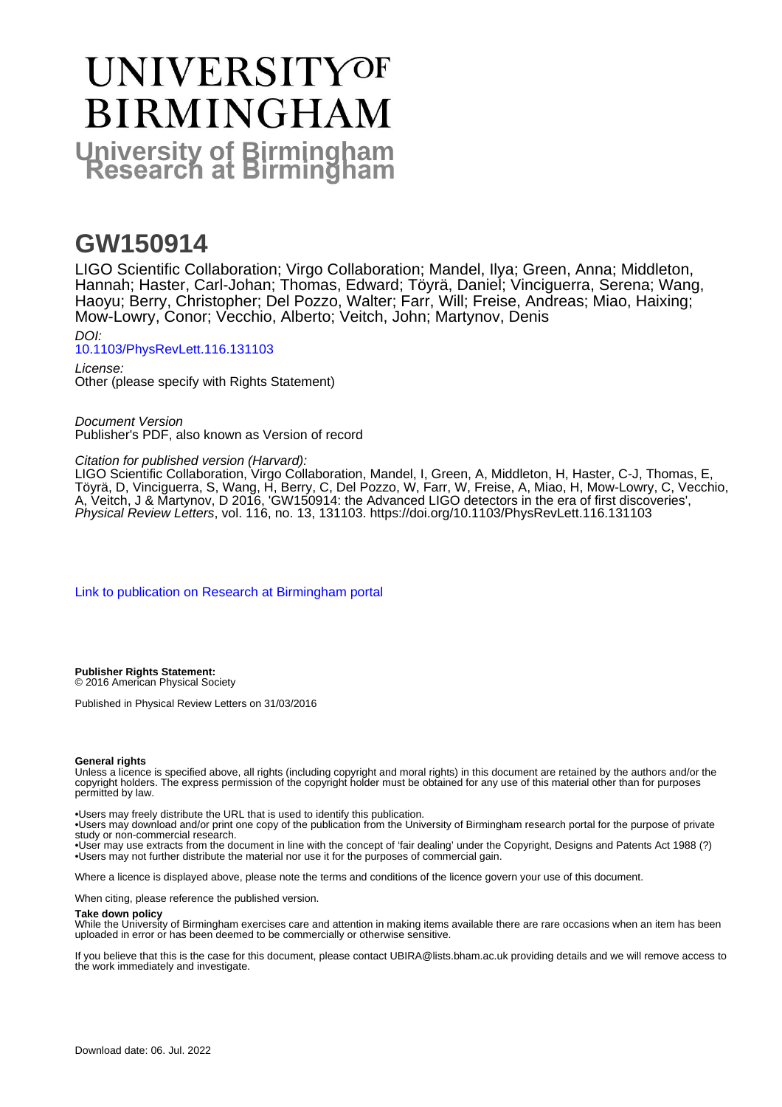# UNIVERSITYOF **BIRMINGHAM University of Birmingham**

## **GW150914**

LIGO Scientific Collaboration; Virgo Collaboration; Mandel, Ilya; Green, Anna; Middleton, Hannah; Haster, Carl-Johan; Thomas, Edward; Töyrä, Daniel; Vinciguerra, Serena; Wang, Haoyu; Berry, Christopher; Del Pozzo, Walter; Farr, Will; Freise, Andreas; Miao, Haixing; Mow-Lowry, Conor; Vecchio, Alberto; Veitch, John; Martynov, Denis DOI:

[10.1103/PhysRevLett.116.131103](https://doi.org/10.1103/PhysRevLett.116.131103)

License: Other (please specify with Rights Statement)

Document Version Publisher's PDF, also known as Version of record

Citation for published version (Harvard):

LIGO Scientific Collaboration, Virgo Collaboration, Mandel, I, Green, A, Middleton, H, Haster, C-J, Thomas, E, Töyrä, D, Vinciguerra, S, Wang, H, Berry, C, Del Pozzo, W, Farr, W, Freise, A, Miao, H, Mow-Lowry, C, Vecchio, A, Veitch, J & Martynov, D 2016, 'GW150914: the Advanced LIGO detectors in the era of first discoveries', Physical Review Letters, vol. 116, no. 13, 131103. <https://doi.org/10.1103/PhysRevLett.116.131103>

[Link to publication on Research at Birmingham portal](https://birmingham.elsevierpure.com/en/publications/9d39fded-8cb2-4162-a060-7c319b155922)

**Publisher Rights Statement:** © 2016 American Physical Society

Published in Physical Review Letters on 31/03/2016

#### **General rights**

Unless a licence is specified above, all rights (including copyright and moral rights) in this document are retained by the authors and/or the copyright holders. The express permission of the copyright holder must be obtained for any use of this material other than for purposes permitted by law.

• Users may freely distribute the URL that is used to identify this publication.

• Users may download and/or print one copy of the publication from the University of Birmingham research portal for the purpose of private study or non-commercial research.

• User may use extracts from the document in line with the concept of 'fair dealing' under the Copyright, Designs and Patents Act 1988 (?) • Users may not further distribute the material nor use it for the purposes of commercial gain.

Where a licence is displayed above, please note the terms and conditions of the licence govern your use of this document.

When citing, please reference the published version.

#### **Take down policy**

While the University of Birmingham exercises care and attention in making items available there are rare occasions when an item has been uploaded in error or has been deemed to be commercially or otherwise sensitive.

If you believe that this is the case for this document, please contact UBIRA@lists.bham.ac.uk providing details and we will remove access to the work immediately and investigate.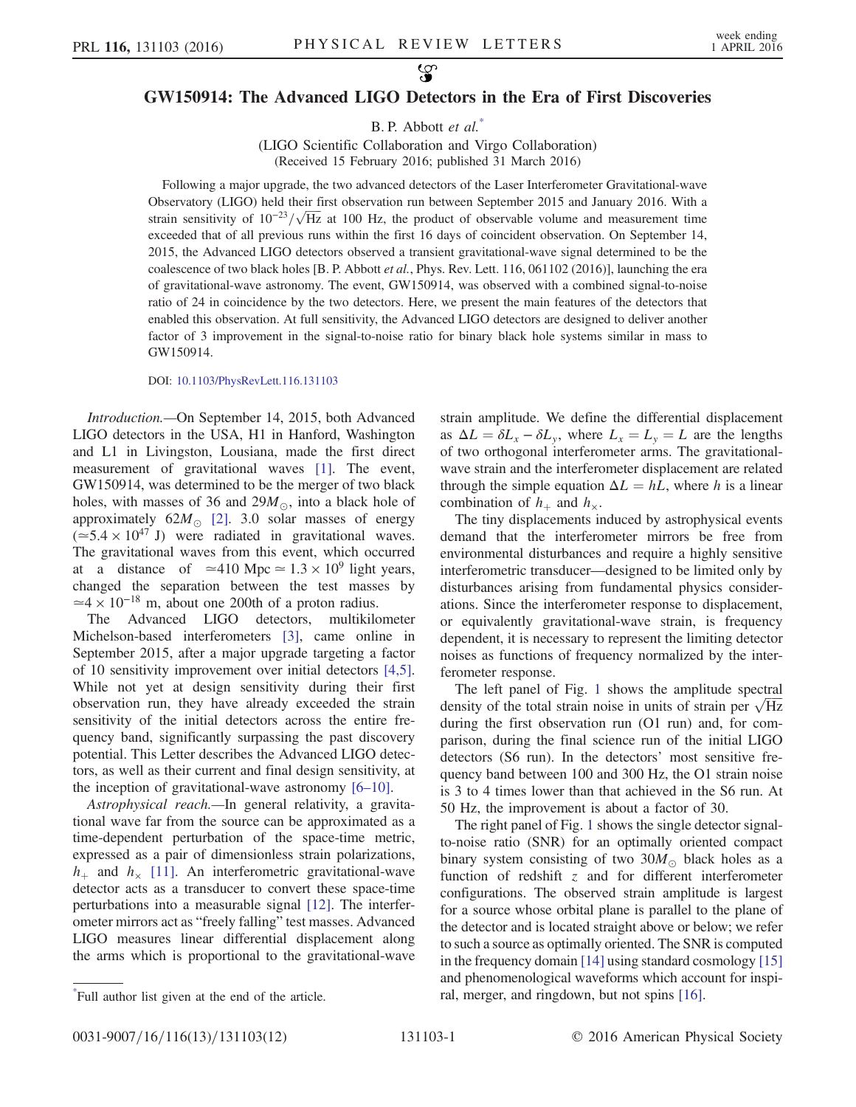### <span id="page-1-1"></span>GW150914: The Advanced LIGO Detectors in the Era of First Discoveries

B. P. Abbott et al.<sup>[\\*](#page-1-0)</sup>

(LIGO Scientific Collaboration and Virgo Collaboration) (Received 15 February 2016; published 31 March 2016)

Following a major upgrade, the two advanced detectors of the Laser Interferometer Gravitational-wave Observatory (LIGO) held their first observation run between September 2015 and January 2016. With a Observatory (LIGO) held their first observation run between September 2015 and January 2016. With a strain sensitivity of  $10^{-23}/\sqrt{\text{Hz}}$  at 100 Hz, the product of observable volume and measurement time exceeded that of all previous runs within the first 16 days of coincident observation. On September 14, 2015, the Advanced LIGO detectors observed a transient gravitational-wave signal determined to be the coalescence of two black holes [B. P. Abbott et al., Phys. Rev. Lett. 116, 061102 (2016)], launching the era of gravitational-wave astronomy. The event, GW150914, was observed with a combined signal-to-noise ratio of 24 in coincidence by the two detectors. Here, we present the main features of the detectors that enabled this observation. At full sensitivity, the Advanced LIGO detectors are designed to deliver another factor of 3 improvement in the signal-to-noise ratio for binary black hole systems similar in mass to GW150914.

DOI: [10.1103/PhysRevLett.116.131103](http://dx.doi.org/10.1103/PhysRevLett.116.131103)

Introduction.—On September 14, 2015, both Advanced LIGO detectors in the USA, H1 in Hanford, Washington and L1 in Livingston, Lousiana, made the first direct measurement of gravitational waves [\[1\].](#page-5-0) The event, GW150914, was determined to be the merger of two black holes, with masses of 36 and 29 $M_{\odot}$ , into a black hole of approximately  $62M_{\odot}$  [\[2\]](#page-5-1). 3.0 solar masses of energy  $(25.4 \times 10^{47} \text{ J})$  were radiated in gravitational waves. The gravitational waves from this event, which occurred at a distance of  $\simeq 410$  Mpc  $\simeq 1.3 \times 10^9$  light years, changed the separation between the test masses by  $\simeq$ 4 × 10<sup>-18</sup> m, about one 200th of a proton radius.<br>The Advanced LIGO detectors, multikilo

Advanced LIGO detectors, multikilometer Michelson-based interferometers [\[3\]](#page-5-2), came online in September 2015, after a major upgrade targeting a factor of 10 sensitivity improvement over initial detectors [\[4,5\]](#page-5-3). While not yet at design sensitivity during their first observation run, they have already exceeded the strain sensitivity of the initial detectors across the entire frequency band, significantly surpassing the past discovery potential. This Letter describes the Advanced LIGO detectors, as well as their current and final design sensitivity, at the inception of gravitational-wave astronomy [6–[10\]](#page-5-4).

<span id="page-1-0"></span>Astrophysical reach.—In general relativity, a gravitational wave far from the source can be approximated as a time-dependent perturbation of the space-time metric, expressed as a pair of dimensionless strain polarizations,  $h_{+}$  and  $h_{\times}$  [\[11\]](#page-6-0). An interferometric gravitational-wave detector acts as a transducer to convert these space-time perturbations into a measurable signal [\[12\].](#page-6-1) The interferometer mirrors act as "freely falling" test masses. Advanced LIGO measures linear differential displacement along the arms which is proportional to the gravitational-wave strain amplitude. We define the differential displacement as  $\Delta L = \delta L_x - \delta L_y$ , where  $L_x = L_y = L$  are the lengths of two orthogonal interferometer arms. The gravitationalwave strain and the interferometer displacement are related through the simple equation  $\Delta L = hL$ , where h is a linear combination of  $h_+$  and  $h_{\times}$ .

The tiny displacements induced by astrophysical events demand that the interferometer mirrors be free from environmental disturbances and require a highly sensitive interferometric transducer—designed to be limited only by disturbances arising from fundamental physics considerations. Since the interferometer response to displacement, or equivalently gravitational-wave strain, is frequency dependent, it is necessary to represent the limiting detector noises as functions of frequency normalized by the interferometer response.

The left panel of Fig. [1](#page-2-0) shows the amplitude spectral The left panel of Fig. 1 shows the amplitude spectral density of the total strain noise in units of strain per  $\sqrt{Hz}$ during the first observation run (O1 run) and, for comparison, during the final science run of the initial LIGO detectors (S6 run). In the detectors' most sensitive frequency band between 100 and 300 Hz, the O1 strain noise is 3 to 4 times lower than that achieved in the S6 run. At 50 Hz, the improvement is about a factor of 30.

The right panel of Fig. [1](#page-2-0) shows the single detector signalto-noise ratio (SNR) for an optimally oriented compact binary system consisting of two 30 $M_{\odot}$  black holes as a function of redshift z and for different interferometer configurations. The observed strain amplitude is largest for a source whose orbital plane is parallel to the plane of the detector and is located straight above or below; we refer to such a source as optimally oriented. The SNR is computed in the frequency domain [\[14\]](#page-6-2) using standard cosmology [\[15\]](#page-6-3) and phenomenological waveforms which account for inspi-ral, merger, and ringdown, but not spins [\[16\].](#page-6-4)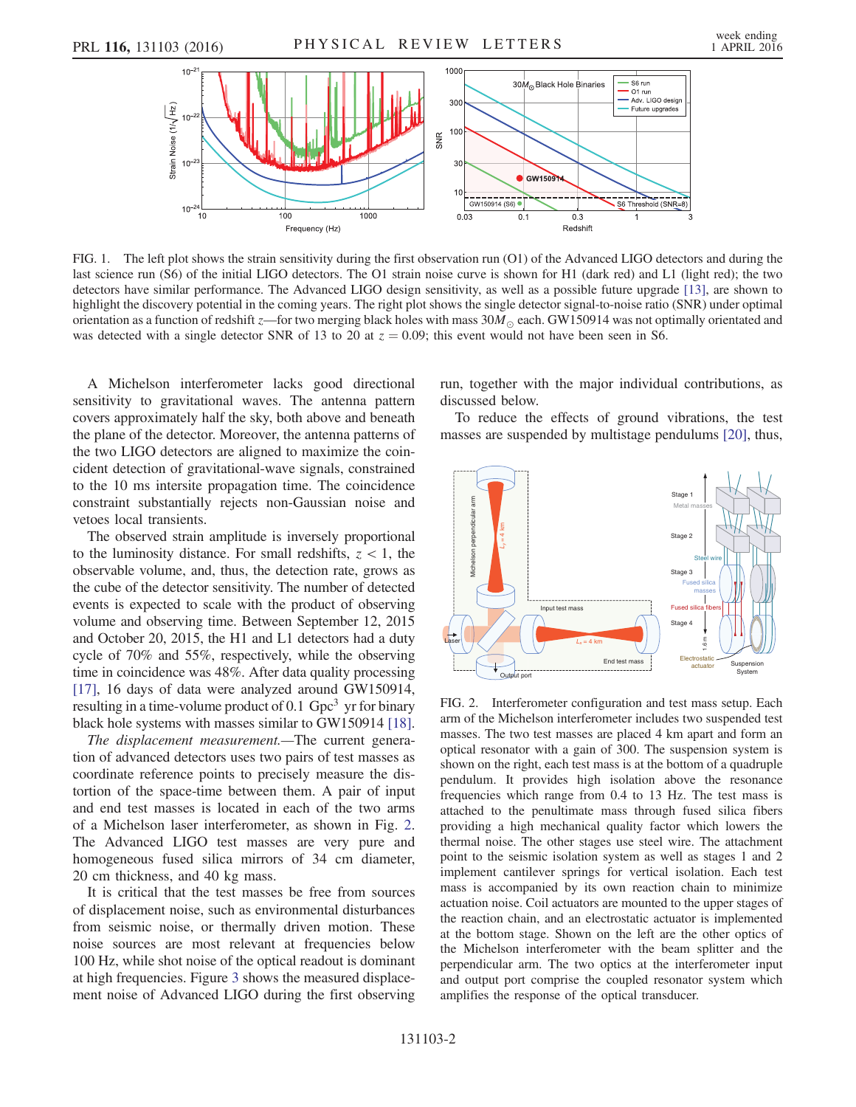<span id="page-2-0"></span>

FIG. 1. The left plot shows the strain sensitivity during the first observation run (O1) of the Advanced LIGO detectors and during the last science run (S6) of the initial LIGO detectors. The O1 strain noise curve is shown for H1 (dark red) and L1 (light red); the two detectors have similar performance. The Advanced LIGO design sensitivity, as well as a possible future upgrade [\[13\],](#page-6-8) are shown to highlight the discovery potential in the coming years. The right plot shows the single detector signal-to-noise ratio (SNR) under optimal orientation as a function of redshift z—for two merging black holes with mass  $30M_{\odot}$  each. GW150914 was not optimally orientated and was detected with a single detector SNR of 13 to 20 at  $z = 0.09$ ; this event would not have been seen in S6.

A Michelson interferometer lacks good directional sensitivity to gravitational waves. The antenna pattern covers approximately half the sky, both above and beneath the plane of the detector. Moreover, the antenna patterns of the two LIGO detectors are aligned to maximize the coincident detection of gravitational-wave signals, constrained to the 10 ms intersite propagation time. The coincidence constraint substantially rejects non-Gaussian noise and vetoes local transients.

The observed strain amplitude is inversely proportional to the luminosity distance. For small redshifts,  $z < 1$ , the observable volume, and, thus, the detection rate, grows as the cube of the detector sensitivity. The number of detected events is expected to scale with the product of observing volume and observing time. Between September 12, 2015 and October 20, 2015, the H1 and L1 detectors had a duty cycle of 70% and 55%, respectively, while the observing time in coincidence was 48%. After data quality processing [\[17\]](#page-6-5), 16 days of data were analyzed around GW150914, resulting in a time-volume product of 0.1  $Gpc<sup>3</sup>$  yr for binary black hole systems with masses similar to GW150914 [\[18\]](#page-6-6).

The displacement measurement.—The current generation of advanced detectors uses two pairs of test masses as coordinate reference points to precisely measure the distortion of the space-time between them. A pair of input and end test masses is located in each of the two arms of a Michelson laser interferometer, as shown in Fig. [2](#page-2-1). The Advanced LIGO test masses are very pure and homogeneous fused silica mirrors of 34 cm diameter, 20 cm thickness, and 40 kg mass.

It is critical that the test masses be free from sources of displacement noise, such as environmental disturbances from seismic noise, or thermally driven motion. These noise sources are most relevant at frequencies below 100 Hz, while shot noise of the optical readout is dominant at high frequencies. Figure [3](#page-3-0) shows the measured displacement noise of Advanced LIGO during the first observing run, together with the major individual contributions, as discussed below.

To reduce the effects of ground vibrations, the test masses are suspended by multistage pendulums [\[20\],](#page-6-7) thus,

<span id="page-2-1"></span>

FIG. 2. Interferometer configuration and test mass setup. Each arm of the Michelson interferometer includes two suspended test masses. The two test masses are placed 4 km apart and form an optical resonator with a gain of 300. The suspension system is shown on the right, each test mass is at the bottom of a quadruple pendulum. It provides high isolation above the resonance frequencies which range from 0.4 to 13 Hz. The test mass is attached to the penultimate mass through fused silica fibers providing a high mechanical quality factor which lowers the thermal noise. The other stages use steel wire. The attachment point to the seismic isolation system as well as stages 1 and 2 implement cantilever springs for vertical isolation. Each test mass is accompanied by its own reaction chain to minimize actuation noise. Coil actuators are mounted to the upper stages of the reaction chain, and an electrostatic actuator is implemented at the bottom stage. Shown on the left are the other optics of the Michelson interferometer with the beam splitter and the perpendicular arm. The two optics at the interferometer input and output port comprise the coupled resonator system which amplifies the response of the optical transducer.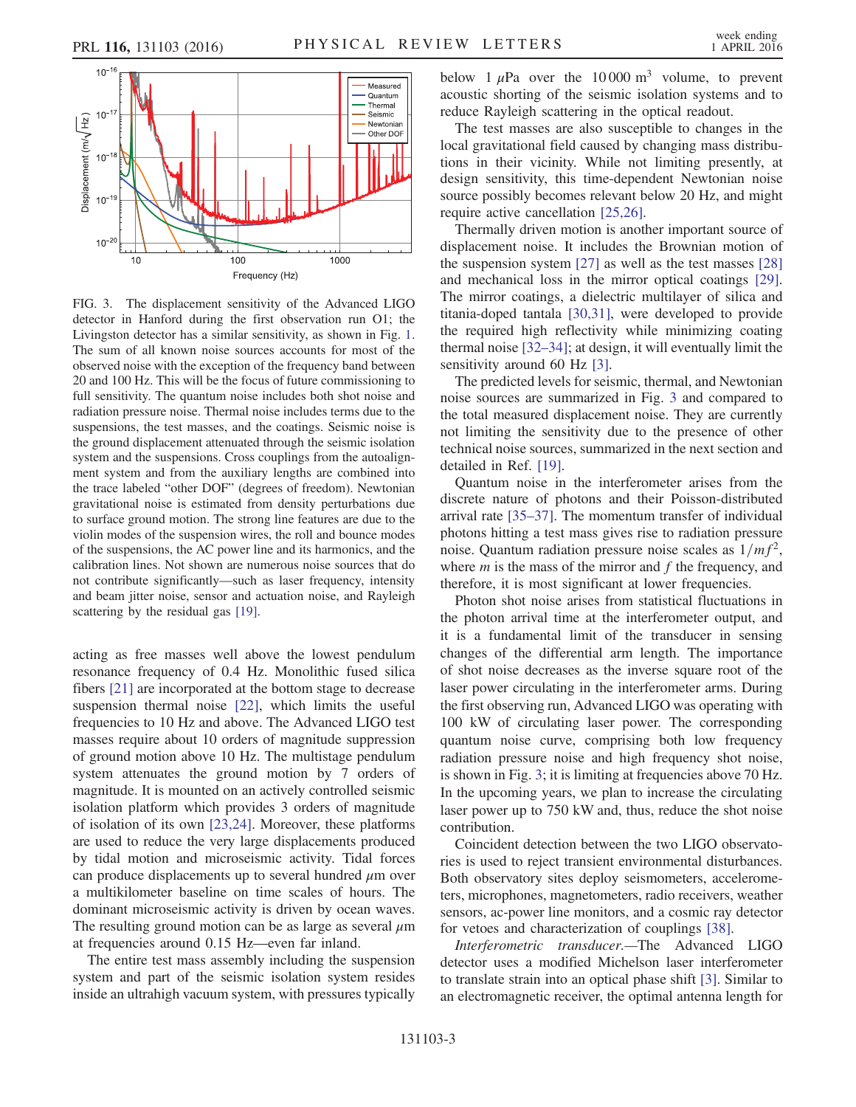<span id="page-3-0"></span>

FIG. 3. The displacement sensitivity of the Advanced LIGO detector in Hanford during the first observation run O1; the Livingston detector has a similar sensitivity, as shown in Fig. [1.](#page-2-0) The sum of all known noise sources accounts for most of the observed noise with the exception of the frequency band between 20 and 100 Hz. This will be the focus of future commissioning to full sensitivity. The quantum noise includes both shot noise and radiation pressure noise. Thermal noise includes terms due to the suspensions, the test masses, and the coatings. Seismic noise is the ground displacement attenuated through the seismic isolation system and the suspensions. Cross couplings from the autoalignment system and from the auxiliary lengths are combined into the trace labeled "other DOF" (degrees of freedom). Newtonian gravitational noise is estimated from density perturbations due to surface ground motion. The strong line features are due to the violin modes of the suspension wires, the roll and bounce modes of the suspensions, the AC power line and its harmonics, and the calibration lines. Not shown are numerous noise sources that do not contribute significantly—such as laser frequency, intensity and beam jitter noise, sensor and actuation noise, and Rayleigh scattering by the residual gas [\[19\]](#page-6-18).

acting as free masses well above the lowest pendulum resonance frequency of 0.4 Hz. Monolithic fused silica fibers [\[21\]](#page-6-9) are incorporated at the bottom stage to decrease suspension thermal noise [\[22\]](#page-6-10), which limits the useful frequencies to 10 Hz and above. The Advanced LIGO test masses require about 10 orders of magnitude suppression of ground motion above 10 Hz. The multistage pendulum system attenuates the ground motion by 7 orders of magnitude. It is mounted on an actively controlled seismic isolation platform which provides 3 orders of magnitude of isolation of its own [\[23,24\]](#page-6-11). Moreover, these platforms are used to reduce the very large displacements produced by tidal motion and microseismic activity. Tidal forces can produce displacements up to several hundred  $\mu$ m over a multikilometer baseline on time scales of hours. The dominant microseismic activity is driven by ocean waves. The resulting ground motion can be as large as several  $\mu$ m at frequencies around 0.15 Hz—even far inland.

The entire test mass assembly including the suspension system and part of the seismic isolation system resides inside an ultrahigh vacuum system, with pressures typically below 1  $\mu$ Pa over the 10 000 m<sup>3</sup> volume, to prevent acoustic shorting of the seismic isolation systems and to reduce Rayleigh scattering in the optical readout.

The test masses are also susceptible to changes in the local gravitational field caused by changing mass distributions in their vicinity. While not limiting presently, at design sensitivity, this time-dependent Newtonian noise source possibly becomes relevant below 20 Hz, and might require active cancellation [\[25,26\].](#page-6-12)

Thermally driven motion is another important source of displacement noise. It includes the Brownian motion of the suspension system [\[27\]](#page-6-13) as well as the test masses [\[28\]](#page-6-14) and mechanical loss in the mirror optical coatings [\[29\]](#page-6-15). The mirror coatings, a dielectric multilayer of silica and titania-doped tantala [\[30,31\],](#page-6-16) were developed to provide the required high reflectivity while minimizing coating thermal noise [\[32](#page-6-17)–34]; at design, it will eventually limit the sensitivity around 60 Hz [\[3\].](#page-5-2)

The predicted levels for seismic, thermal, and Newtonian noise sources are summarized in Fig. [3](#page-3-0) and compared to the total measured displacement noise. They are currently not limiting the sensitivity due to the presence of other technical noise sources, summarized in the next section and detailed in Ref. [\[19\].](#page-6-18)

Quantum noise in the interferometer arises from the discrete nature of photons and their Poisson-distributed arrival rate [\[35](#page-6-19)–37]. The momentum transfer of individual photons hitting a test mass gives rise to radiation pressure noise. Quantum radiation pressure noise scales as  $1/m<sup>2</sup>$ , where  $m$  is the mass of the mirror and  $f$  the frequency, and therefore, it is most significant at lower frequencies.

Photon shot noise arises from statistical fluctuations in the photon arrival time at the interferometer output, and it is a fundamental limit of the transducer in sensing changes of the differential arm length. The importance of shot noise decreases as the inverse square root of the laser power circulating in the interferometer arms. During the first observing run, Advanced LIGO was operating with 100 kW of circulating laser power. The corresponding quantum noise curve, comprising both low frequency radiation pressure noise and high frequency shot noise, is shown in Fig. [3](#page-3-0); it is limiting at frequencies above 70 Hz. In the upcoming years, we plan to increase the circulating laser power up to 750 kW and, thus, reduce the shot noise contribution.

Coincident detection between the two LIGO observatories is used to reject transient environmental disturbances. Both observatory sites deploy seismometers, accelerometers, microphones, magnetometers, radio receivers, weather sensors, ac-power line monitors, and a cosmic ray detector for vetoes and characterization of couplings [\[38\].](#page-6-20)

Interferometric transducer.—The Advanced LIGO detector uses a modified Michelson laser interferometer to translate strain into an optical phase shift [\[3\]](#page-5-2). Similar to an electromagnetic receiver, the optimal antenna length for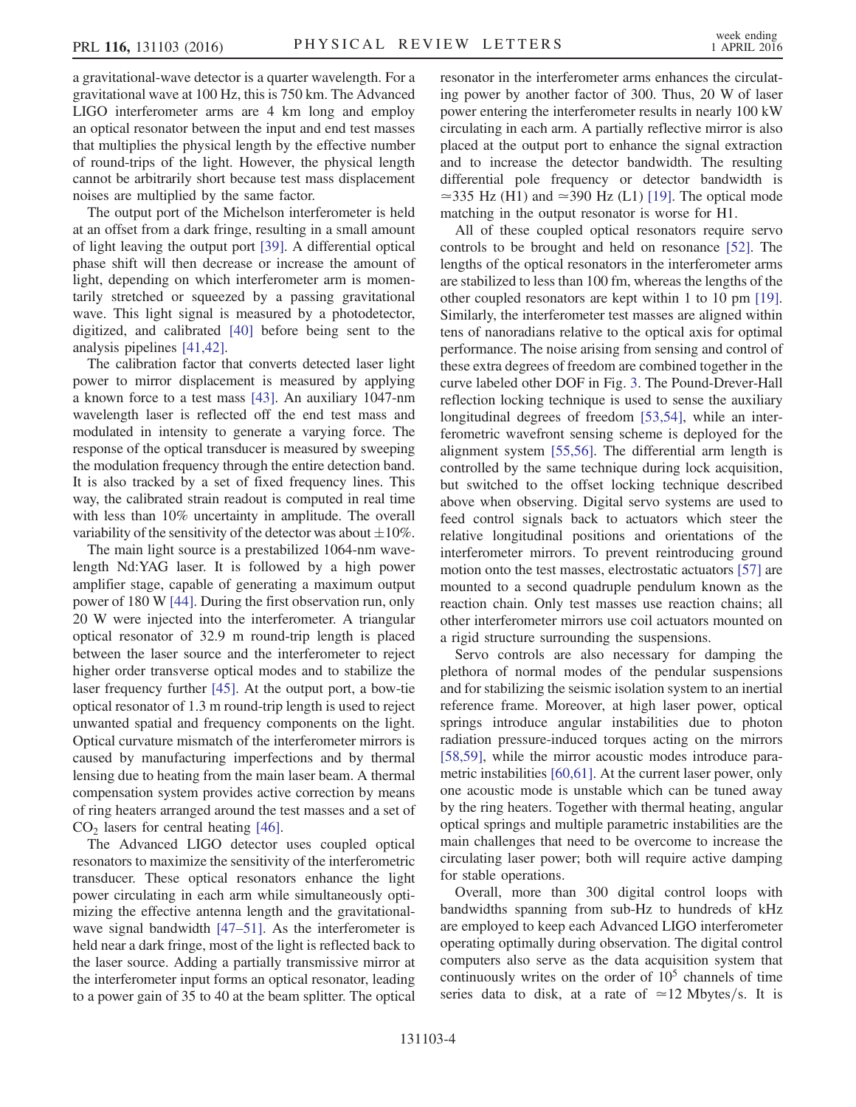a gravitational-wave detector is a quarter wavelength. For a gravitational wave at 100 Hz, this is 750 km. The Advanced LIGO interferometer arms are 4 km long and employ an optical resonator between the input and end test masses that multiplies the physical length by the effective number of round-trips of the light. However, the physical length cannot be arbitrarily short because test mass displacement noises are multiplied by the same factor.

The output port of the Michelson interferometer is held at an offset from a dark fringe, resulting in a small amount of light leaving the output port [\[39\]](#page-6-21). A differential optical phase shift will then decrease or increase the amount of light, depending on which interferometer arm is momentarily stretched or squeezed by a passing gravitational wave. This light signal is measured by a photodetector, digitized, and calibrated [\[40\]](#page-6-22) before being sent to the analysis pipelines [\[41,42\].](#page-6-23)

The calibration factor that converts detected laser light power to mirror displacement is measured by applying a known force to a test mass [\[43\].](#page-6-24) An auxiliary 1047-nm wavelength laser is reflected off the end test mass and modulated in intensity to generate a varying force. The response of the optical transducer is measured by sweeping the modulation frequency through the entire detection band. It is also tracked by a set of fixed frequency lines. This way, the calibrated strain readout is computed in real time with less than 10% uncertainty in amplitude. The overall variability of the sensitivity of the detector was about  $\pm 10\%$ .

The main light source is a prestabilized 1064-nm wavelength Nd:YAG laser. It is followed by a high power amplifier stage, capable of generating a maximum output power of 180 W [\[44\].](#page-6-25) During the first observation run, only 20 W were injected into the interferometer. A triangular optical resonator of 32.9 m round-trip length is placed between the laser source and the interferometer to reject higher order transverse optical modes and to stabilize the laser frequency further [\[45\].](#page-6-26) At the output port, a bow-tie optical resonator of 1.3 m round-trip length is used to reject unwanted spatial and frequency components on the light. Optical curvature mismatch of the interferometer mirrors is caused by manufacturing imperfections and by thermal lensing due to heating from the main laser beam. A thermal compensation system provides active correction by means of ring heaters arranged around the test masses and a set of  $CO<sub>2</sub>$  lasers for central heating [\[46\]](#page-6-27).

The Advanced LIGO detector uses coupled optical resonators to maximize the sensitivity of the interferometric transducer. These optical resonators enhance the light power circulating in each arm while simultaneously optimizing the effective antenna length and the gravitational-wave signal bandwidth [47–[51\].](#page-6-28) As the interferometer is held near a dark fringe, most of the light is reflected back to the laser source. Adding a partially transmissive mirror at the interferometer input forms an optical resonator, leading to a power gain of 35 to 40 at the beam splitter. The optical resonator in the interferometer arms enhances the circulating power by another factor of 300. Thus, 20 W of laser power entering the interferometer results in nearly 100 kW circulating in each arm. A partially reflective mirror is also placed at the output port to enhance the signal extraction and to increase the detector bandwidth. The resulting differential pole frequency or detector bandwidth is ≃335 Hz (H1) and ≃390 Hz (L1) [\[19\].](#page-6-18) The optical mode matching in the output resonator is worse for H1.

All of these coupled optical resonators require servo controls to be brought and held on resonance [\[52\].](#page-7-0) The lengths of the optical resonators in the interferometer arms are stabilized to less than 100 fm, whereas the lengths of the other coupled resonators are kept within 1 to 10 pm [\[19\]](#page-6-18). Similarly, the interferometer test masses are aligned within tens of nanoradians relative to the optical axis for optimal performance. The noise arising from sensing and control of these extra degrees of freedom are combined together in the curve labeled other DOF in Fig. [3](#page-3-0). The Pound-Drever-Hall reflection locking technique is used to sense the auxiliary longitudinal degrees of freedom [\[53,54\],](#page-7-1) while an interferometric wavefront sensing scheme is deployed for the alignment system [\[55,56\].](#page-7-2) The differential arm length is controlled by the same technique during lock acquisition, but switched to the offset locking technique described above when observing. Digital servo systems are used to feed control signals back to actuators which steer the relative longitudinal positions and orientations of the interferometer mirrors. To prevent reintroducing ground motion onto the test masses, electrostatic actuators [\[57\]](#page-7-3) are mounted to a second quadruple pendulum known as the reaction chain. Only test masses use reaction chains; all other interferometer mirrors use coil actuators mounted on a rigid structure surrounding the suspensions.

Servo controls are also necessary for damping the plethora of normal modes of the pendular suspensions and for stabilizing the seismic isolation system to an inertial reference frame. Moreover, at high laser power, optical springs introduce angular instabilities due to photon radiation pressure-induced torques acting on the mirrors [\[58,59\]](#page-7-4), while the mirror acoustic modes introduce parametric instabilities [\[60,61\]](#page-7-5). At the current laser power, only one acoustic mode is unstable which can be tuned away by the ring heaters. Together with thermal heating, angular optical springs and multiple parametric instabilities are the main challenges that need to be overcome to increase the circulating laser power; both will require active damping for stable operations.

Overall, more than 300 digital control loops with bandwidths spanning from sub-Hz to hundreds of kHz are employed to keep each Advanced LIGO interferometer operating optimally during observation. The digital control computers also serve as the data acquisition system that continuously writes on the order of  $10<sup>5</sup>$  channels of time series data to disk, at a rate of  $\simeq$  12 Mbytes/s. It is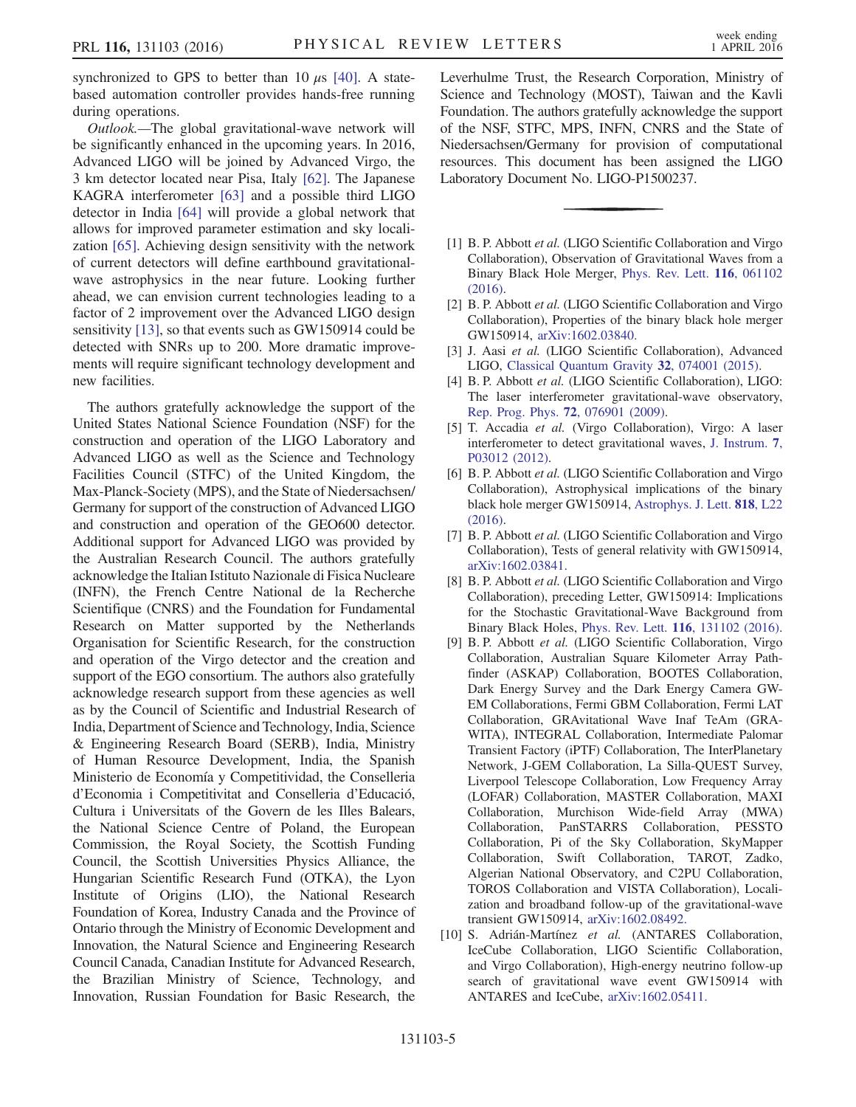synchronized to GPS to better than 10  $\mu$ s [\[40\].](#page-6-22) A statebased automation controller provides hands-free running during operations.

Outlook.—The global gravitational-wave network will be significantly enhanced in the upcoming years. In 2016, Advanced LIGO will be joined by Advanced Virgo, the 3 km detector located near Pisa, Italy [\[62\].](#page-7-6) The Japanese KAGRA interferometer [\[63\]](#page-7-7) and a possible third LIGO detector in India [\[64\]](#page-7-8) will provide a global network that allows for improved parameter estimation and sky localization [\[65\].](#page-7-9) Achieving design sensitivity with the network of current detectors will define earthbound gravitationalwave astrophysics in the near future. Looking further ahead, we can envision current technologies leading to a factor of 2 improvement over the Advanced LIGO design sensitivity [\[13\]](#page-6-8), so that events such as GW150914 could be detected with SNRs up to 200. More dramatic improvements will require significant technology development and new facilities.

The authors gratefully acknowledge the support of the United States National Science Foundation (NSF) for the construction and operation of the LIGO Laboratory and Advanced LIGO as well as the Science and Technology Facilities Council (STFC) of the United Kingdom, the Max-Planck-Society (MPS), and the State of Niedersachsen/ Germany for support of the construction of Advanced LIGO and construction and operation of the GEO600 detector. Additional support for Advanced LIGO was provided by the Australian Research Council. The authors gratefully acknowledge the Italian Istituto Nazionale di Fisica Nucleare (INFN), the French Centre National de la Recherche Scientifique (CNRS) and the Foundation for Fundamental Research on Matter supported by the Netherlands Organisation for Scientific Research, for the construction and operation of the Virgo detector and the creation and support of the EGO consortium. The authors also gratefully acknowledge research support from these agencies as well as by the Council of Scientific and Industrial Research of India, Department of Science and Technology, India, Science & Engineering Research Board (SERB), India, Ministry of Human Resource Development, India, the Spanish Ministerio de Economía y Competitividad, the Conselleria d'Economia i Competitivitat and Conselleria d'Educació, Cultura i Universitats of the Govern de les Illes Balears, the National Science Centre of Poland, the European Commission, the Royal Society, the Scottish Funding Council, the Scottish Universities Physics Alliance, the Hungarian Scientific Research Fund (OTKA), the Lyon Institute of Origins (LIO), the National Research Foundation of Korea, Industry Canada and the Province of Ontario through the Ministry of Economic Development and Innovation, the Natural Science and Engineering Research Council Canada, Canadian Institute for Advanced Research, the Brazilian Ministry of Science, Technology, and Innovation, Russian Foundation for Basic Research, the

Leverhulme Trust, the Research Corporation, Ministry of Science and Technology (MOST), Taiwan and the Kavli Foundation. The authors gratefully acknowledge the support of the NSF, STFC, MPS, INFN, CNRS and the State of Niedersachsen/Germany for provision of computational resources. This document has been assigned the LIGO Laboratory Document No. LIGO-P1500237.

- <span id="page-5-0"></span>[1] B. P. Abbott et al. (LIGO Scientific Collaboration and Virgo Collaboration), Observation of Gravitational Waves from a Binary Black Hole Merger, [Phys. Rev. Lett.](http://dx.doi.org/10.1103/PhysRevLett.116.061102) 116, 061102 [\(2016\).](http://dx.doi.org/10.1103/PhysRevLett.116.061102)
- <span id="page-5-1"></span>[2] B. P. Abbott et al. (LIGO Scientific Collaboration and Virgo Collaboration), Properties of the binary black hole merger GW150914, [arXiv:1602.03840.](http://arXiv.org/abs/1602.03840)
- <span id="page-5-2"></span>[3] J. Aasi et al. (LIGO Scientific Collaboration), Advanced LIGO, [Classical Quantum Gravity](http://dx.doi.org/10.1088/0264-9381/32/7/074001) 32, 074001 (2015).
- <span id="page-5-3"></span>[4] B. P. Abbott et al. (LIGO Scientific Collaboration), LIGO: The laser interferometer gravitational-wave observatory, [Rep. Prog. Phys.](http://dx.doi.org/10.1088/0034-4885/72/7/076901) 72, 076901 (2009).
- [5] T. Accadia et al. (Virgo Collaboration), Virgo: A laser interferometer to detect gravitational waves, [J. Instrum.](http://dx.doi.org/10.1088/1748-0221/7/03/P03012) 7, [P03012 \(2012\)](http://dx.doi.org/10.1088/1748-0221/7/03/P03012).
- <span id="page-5-4"></span>[6] B. P. Abbott et al. (LIGO Scientific Collaboration and Virgo Collaboration), Astrophysical implications of the binary black hole merger GW150914, [Astrophys. J. Lett.](http://dx.doi.org/10.3847/2041-8205/818/2/L22) 818, L22  $(2016)$ .
- [7] B. P. Abbott et al. (LIGO Scientific Collaboration and Virgo Collaboration), Tests of general relativity with GW150914, [arXiv:1602.03841.](http://arXiv.org/abs/1602.03841)
- [8] B. P. Abbott et al. (LIGO Scientific Collaboration and Virgo Collaboration), preceding Letter, GW150914: Implications for the Stochastic Gravitational-Wave Background from Binary Black Holes, Phys. Rev. Lett. 116[, 131102 \(2016\).](http://dx.doi.org/10.1103/PhysRevLett.116.131102)
- [9] B. P. Abbott et al. (LIGO Scientific Collaboration, Virgo Collaboration, Australian Square Kilometer Array Pathfinder (ASKAP) Collaboration, BOOTES Collaboration, Dark Energy Survey and the Dark Energy Camera GW-EM Collaborations, Fermi GBM Collaboration, Fermi LAT Collaboration, GRAvitational Wave Inaf TeAm (GRA-WITA), INTEGRAL Collaboration, Intermediate Palomar Transient Factory (iPTF) Collaboration, The InterPlanetary Network, J-GEM Collaboration, La Silla-QUEST Survey, Liverpool Telescope Collaboration, Low Frequency Array (LOFAR) Collaboration, MASTER Collaboration, MAXI Collaboration, Murchison Wide-field Array (MWA) Collaboration, PanSTARRS Collaboration, PESSTO Collaboration, Pi of the Sky Collaboration, SkyMapper Collaboration, Swift Collaboration, TAROT, Zadko, Algerian National Observatory, and C2PU Collaboration, TOROS Collaboration and VISTA Collaboration), Localization and broadband follow-up of the gravitational-wave transient GW150914, [arXiv:1602.08492.](http://arXiv.org/abs/1602.08492)
- [10] S. Adrián-Martínez et al. (ANTARES Collaboration, IceCube Collaboration, LIGO Scientific Collaboration, and Virgo Collaboration), High-energy neutrino follow-up search of gravitational wave event GW150914 with ANTARES and IceCube, [arXiv:1602.05411.](http://arXiv.org/abs/1602.05411)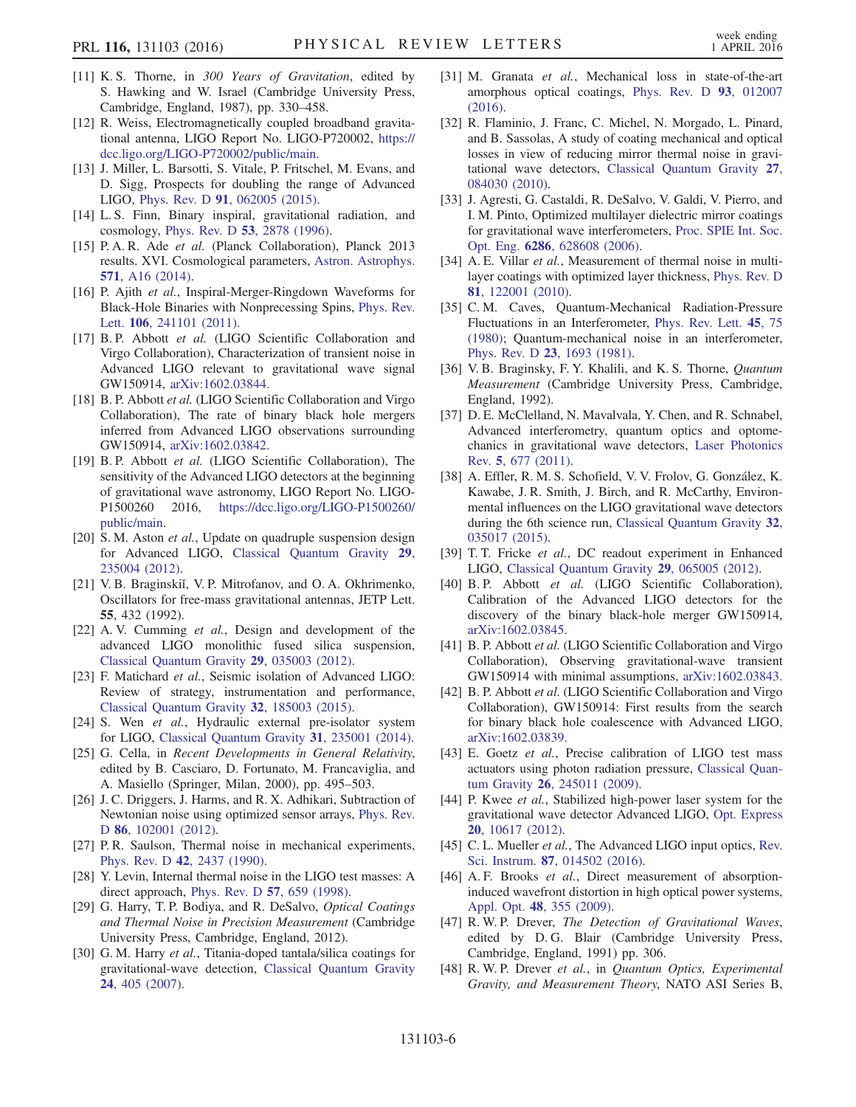- <span id="page-6-0"></span>[11] K. S. Thorne, in 300 Years of Gravitation, edited by S. Hawking and W. Israel (Cambridge University Press, Cambridge, England, 1987), pp. 330–458.
- <span id="page-6-1"></span>[12] R. Weiss, Electromagnetically coupled broadband gravitational antenna, LIGO Report No. LIGO-P720002, [https://](https://dcc.ligo.org/LIGO-P720002/public/main) [dcc.ligo.](https://dcc.ligo.org/LIGO-P720002/public/main)org/LIGO‑[P720002/public/main](https://dcc.ligo.org/LIGO-P720002/public/main).
- <span id="page-6-8"></span>[13] J. Miller, L. Barsotti, S. Vitale, P. Fritschel, M. Evans, and D. Sigg, Prospects for doubling the range of Advanced LIGO, Phys. Rev. D 91[, 062005 \(2015\).](http://dx.doi.org/10.1103/PhysRevD.91.062005)
- <span id="page-6-2"></span>[14] L. S. Finn, Binary inspiral, gravitational radiation, and cosmology, Phys. Rev. D 53[, 2878 \(1996\).](http://dx.doi.org/10.1103/PhysRevD.53.2878)
- <span id="page-6-3"></span>[15] P. A. R. Ade et al. (Planck Collaboration), Planck 2013 results. XVI. Cosmological parameters, [Astron. Astrophys.](http://dx.doi.org/10.1051/0004-6361/201321591) 571[, A16 \(2014\).](http://dx.doi.org/10.1051/0004-6361/201321591)
- <span id="page-6-4"></span>[16] P. Ajith et al., Inspiral-Merger-Ringdown Waveforms for Black-Hole Binaries with Nonprecessing Spins, [Phys. Rev.](http://dx.doi.org/10.1103/PhysRevLett.106.241101) Lett. 106[, 241101 \(2011\)](http://dx.doi.org/10.1103/PhysRevLett.106.241101).
- <span id="page-6-5"></span>[17] B. P. Abbott et al. (LIGO Scientific Collaboration and Virgo Collaboration), Characterization of transient noise in Advanced LIGO relevant to gravitational wave signal GW150914, [arXiv:1602.03844.](http://arXiv.org/abs/1602.03844)
- <span id="page-6-6"></span>[18] B. P. Abbott et al. (LIGO Scientific Collaboration and Virgo Collaboration), The rate of binary black hole mergers inferred from Advanced LIGO observations surrounding GW150914, [arXiv:1602.03842.](http://arXiv.org/abs/1602.03842)
- <span id="page-6-18"></span>[19] B. P. Abbott et al. (LIGO Scientific Collaboration), The sensitivity of the Advanced LIGO detectors at the beginning of gravitational wave astronomy, LIGO Report No. LIGOP1500260 2016, [https://dcc.ligo.org/LIGO](https://dcc.ligo.org/LIGO-P1500260/public/main)-P1500260/ [public/main.](https://dcc.ligo.org/LIGO-P1500260/public/main)
- <span id="page-6-7"></span>[20] S. M. Aston et al., Update on quadruple suspension design for Advanced LIGO, [Classical Quantum Gravity](http://dx.doi.org/10.1088/0264-9381/29/23/235004) 29, [235004 \(2012\).](http://dx.doi.org/10.1088/0264-9381/29/23/235004)
- <span id="page-6-9"></span>[21] V. B. Braginskiǐ, V. P. Mitrofanov, and O. A. Okhrimenko, Oscillators for free-mass gravitational antennas, JETP Lett. 55, 432 (1992).
- <span id="page-6-10"></span>[22] A. V. Cumming et al., Design and development of the advanced LIGO monolithic fused silica suspension, [Classical Quantum Gravity](http://dx.doi.org/10.1088/0264-9381/29/3/035003) 29, 035003 (2012).
- <span id="page-6-11"></span>[23] F. Matichard et al., Seismic isolation of Advanced LIGO: Review of strategy, instrumentation and performance, [Classical Quantum Gravity](http://dx.doi.org/10.1088/0264-9381/32/18/185003) 32, 185003 (2015).
- [24] S. Wen et al., Hydraulic external pre-isolator system for LIGO, [Classical Quantum Gravity](http://dx.doi.org/10.1088/0264-9381/31/23/235001) 31, 235001 (2014).
- <span id="page-6-12"></span>[25] G. Cella, in Recent Developments in General Relativity, edited by B. Casciaro, D. Fortunato, M. Francaviglia, and A. Masiello (Springer, Milan, 2000), pp. 495–503.
- [26] J. C. Driggers, J. Harms, and R. X. Adhikari, Subtraction of Newtonian noise using optimized sensor arrays, [Phys. Rev.](http://dx.doi.org/10.1103/PhysRevD.86.102001) D 86[, 102001 \(2012\)](http://dx.doi.org/10.1103/PhysRevD.86.102001).
- <span id="page-6-13"></span>[27] P. R. Saulson, Thermal noise in mechanical experiments, Phys. Rev. D 42[, 2437 \(1990\).](http://dx.doi.org/10.1103/PhysRevD.42.2437)
- <span id="page-6-14"></span>[28] Y. Levin, Internal thermal noise in the LIGO test masses: A direct approach, [Phys. Rev. D](http://dx.doi.org/10.1103/PhysRevD.57.659) 57, 659 (1998).
- <span id="page-6-15"></span>[29] G. Harry, T.P. Bodiya, and R. DeSalvo, Optical Coatings and Thermal Noise in Precision Measurement (Cambridge University Press, Cambridge, England, 2012).
- <span id="page-6-16"></span>[30] G. M. Harry et al., Titania-doped tantala/silica coatings for gravitational-wave detection, [Classical Quantum Gravity](http://dx.doi.org/10.1088/0264-9381/24/2/008) 24[, 405 \(2007\).](http://dx.doi.org/10.1088/0264-9381/24/2/008)
- [31] M. Granata et al., Mechanical loss in state-of-the-art amorphous optical coatings, [Phys. Rev. D](http://dx.doi.org/10.1103/PhysRevD.93.012007) 93, 012007 [\(2016\).](http://dx.doi.org/10.1103/PhysRevD.93.012007)
- <span id="page-6-17"></span>[32] R. Flaminio, J. Franc, C. Michel, N. Morgado, L. Pinard, and B. Sassolas, A study of coating mechanical and optical losses in view of reducing mirror thermal noise in gravitational wave detectors, [Classical Quantum Gravity](http://dx.doi.org/10.1088/0264-9381/27/8/084030) 27, [084030 \(2010\).](http://dx.doi.org/10.1088/0264-9381/27/8/084030)
- [33] J. Agresti, G. Castaldi, R. DeSalvo, V. Galdi, V. Pierro, and I. M. Pinto, Optimized multilayer dielectric mirror coatings for gravitational wave interferometers, [Proc. SPIE Int. Soc.](http://dx.doi.org/10.1117/12.678977) Opt. Eng. 6286[, 628608 \(2006\)](http://dx.doi.org/10.1117/12.678977).
- [34] A. E. Villar et al., Measurement of thermal noise in multilayer coatings with optimized layer thickness, [Phys. Rev. D](http://dx.doi.org/10.1103/PhysRevD.81.122001) 81[, 122001 \(2010\).](http://dx.doi.org/10.1103/PhysRevD.81.122001)
- <span id="page-6-19"></span>[35] C. M. Caves, Quantum-Mechanical Radiation-Pressure Fluctuations in an Interferometer, [Phys. Rev. Lett.](http://dx.doi.org/10.1103/PhysRevLett.45.75) 45, 75 [\(1980\);](http://dx.doi.org/10.1103/PhysRevLett.45.75) Quantum-mechanical noise in an interferometer, Phys. Rev. D 23[, 1693 \(1981\).](http://dx.doi.org/10.1103/PhysRevD.23.1693)
- [36] V. B. Braginsky, F. Y. Khalili, and K. S. Thorne, Quantum Measurement (Cambridge University Press, Cambridge, England, 1992).
- [37] D. E. McClelland, N. Mavalvala, Y. Chen, and R. Schnabel, Advanced interferometry, quantum optics and optomechanics in gravitational wave detectors, [Laser Photonics](http://dx.doi.org/10.1002/lpor.201000034) Rev. 5[, 677 \(2011\)](http://dx.doi.org/10.1002/lpor.201000034).
- <span id="page-6-20"></span>[38] A. Effler, R. M. S. Schofield, V. V. Frolov, G. González, K. Kawabe, J. R. Smith, J. Birch, and R. McCarthy, Environmental influences on the LIGO gravitational wave detectors during the 6th science run, [Classical Quantum Gravity](http://dx.doi.org/10.1088/0264-9381/32/3/035017) 32, [035017 \(2015\).](http://dx.doi.org/10.1088/0264-9381/32/3/035017)
- <span id="page-6-21"></span>[39] T. T. Fricke et al., DC readout experiment in Enhanced LIGO, [Classical Quantum Gravity](http://dx.doi.org/10.1088/0264-9381/29/6/065005) 29, 065005 (2012).
- <span id="page-6-22"></span>[40] B. P. Abbott et al. (LIGO Scientific Collaboration), Calibration of the Advanced LIGO detectors for the discovery of the binary black-hole merger GW150914, [arXiv:1602.03845.](http://arXiv.org/abs/1602.03845)
- <span id="page-6-23"></span>[41] B. P. Abbott et al. (LIGO Scientific Collaboration and Virgo Collaboration), Observing gravitational-wave transient GW150914 with minimal assumptions, [arXiv:1602.03843.](http://arXiv.org/abs/1602.03843)
- [42] B. P. Abbott et al. (LIGO Scientific Collaboration and Virgo Collaboration), GW150914: First results from the search for binary black hole coalescence with Advanced LIGO, [arXiv:1602.03839.](http://arXiv.org/abs/1602.03839)
- <span id="page-6-24"></span>[43] E. Goetz et al., Precise calibration of LIGO test mass actuators using photon radiation pressure, [Classical Quan](http://dx.doi.org/10.1088/0264-9381/26/24/245011)tum Gravity 26[, 245011 \(2009\).](http://dx.doi.org/10.1088/0264-9381/26/24/245011)
- <span id="page-6-25"></span>[44] P. Kwee et al., Stabilized high-power laser system for the gravitational wave detector Advanced LIGO, [Opt. Express](http://dx.doi.org/10.1364/OE.20.010617) 20[, 10617 \(2012\)](http://dx.doi.org/10.1364/OE.20.010617).
- <span id="page-6-26"></span>[45] C. L. Mueller et al., The Advanced LIGO input optics, [Rev.](http://dx.doi.org/10.1063/1.4936974) Sci. Instrum. 87[, 014502 \(2016\).](http://dx.doi.org/10.1063/1.4936974)
- <span id="page-6-27"></span>[46] A. F. Brooks et al., Direct measurement of absorptioninduced wavefront distortion in high optical power systems, Appl. Opt. 48[, 355 \(2009\)](http://dx.doi.org/10.1364/AO.48.000355).
- <span id="page-6-28"></span>[47] R. W. P. Drever, The Detection of Gravitational Waves, edited by D. G. Blair (Cambridge University Press, Cambridge, England, 1991) pp. 306.
- [48] R. W. P. Drever et al., in Quantum Optics, Experimental Gravity, and Measurement Theory, NATO ASI Series B,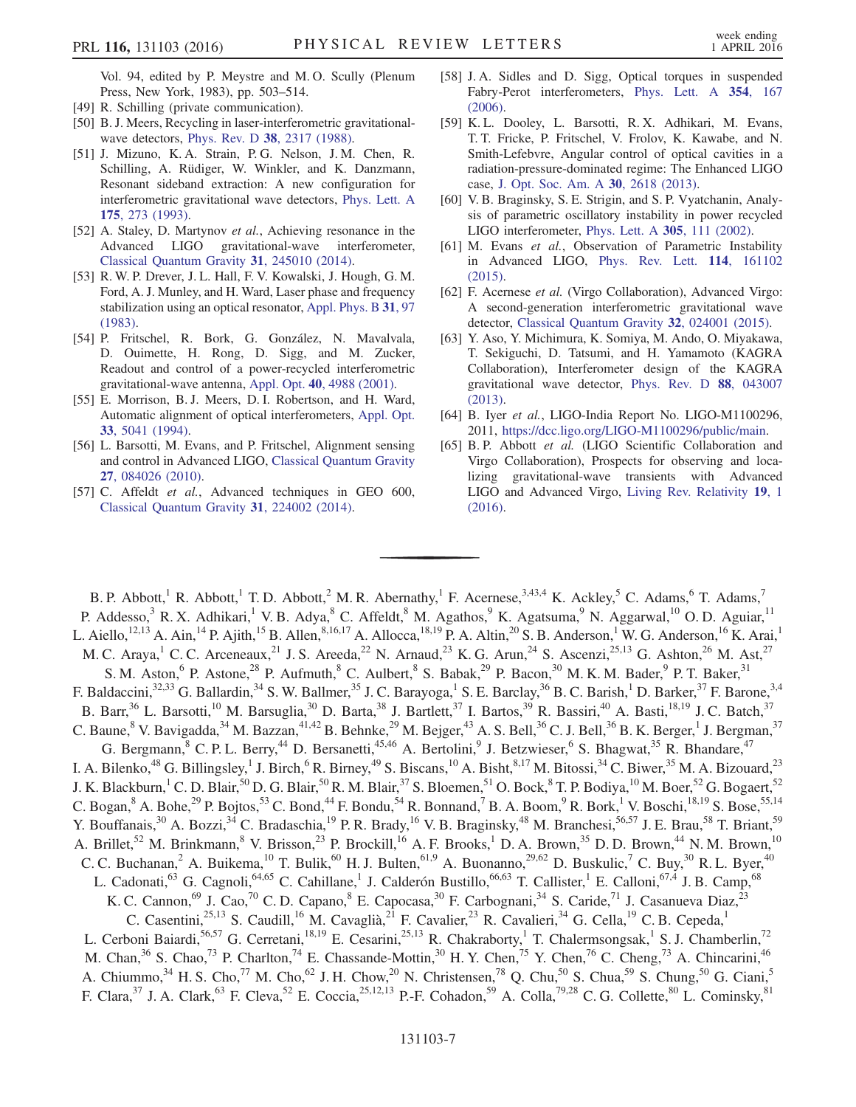Vol. 94, edited by P. Meystre and M. O. Scully (Plenum Press, New York, 1983), pp. 503–514.

- [49] R. Schilling (private communication).
- [50] B. J. Meers, Recycling in laser-interferometric gravitational-wave detectors, Phys. Rev. D 38[, 2317 \(1988\).](http://dx.doi.org/10.1103/PhysRevD.38.2317)
- [51] J. Mizuno, K. A. Strain, P. G. Nelson, J. M. Chen, R. Schilling, A. Rüdiger, W. Winkler, and K. Danzmann, Resonant sideband extraction: A new configuration for interferometric gravitational wave detectors, [Phys. Lett. A](http://dx.doi.org/10.1016/0375-9601(93)90620-F) 175[, 273 \(1993\)](http://dx.doi.org/10.1016/0375-9601(93)90620-F).
- <span id="page-7-0"></span>[52] A. Staley, D. Martynov et al., Achieving resonance in the Advanced LIGO gravitational-wave interferometer, [Classical Quantum Gravity](http://dx.doi.org/10.1088/0264-9381/31/24/245010) 31, 245010 (2014).
- <span id="page-7-1"></span>[53] R. W. P. Drever, J. L. Hall, F. V. Kowalski, J. Hough, G. M. Ford, A. J. Munley, and H. Ward, Laser phase and frequency stabilization using an optical resonator, [Appl. Phys. B](http://dx.doi.org/10.1007/BF00702605) 31, 97 [\(1983\).](http://dx.doi.org/10.1007/BF00702605)
- [54] P. Fritschel, R. Bork, G. González, N. Mavalvala, D. Ouimette, H. Rong, D. Sigg, and M. Zucker, Readout and control of a power-recycled interferometric gravitational-wave antenna, Appl. Opt. 40[, 4988 \(2001\).](http://dx.doi.org/10.1364/AO.40.004988)
- <span id="page-7-2"></span>[55] E. Morrison, B. J. Meers, D. I. Robertson, and H. Ward, Automatic alignment of optical interferometers, [Appl. Opt.](http://dx.doi.org/10.1364/AO.33.005041) 33[, 5041 \(1994\)](http://dx.doi.org/10.1364/AO.33.005041).
- [56] L. Barsotti, M. Evans, and P. Fritschel, Alignment sensing and control in Advanced LIGO, [Classical Quantum Gravity](http://dx.doi.org/10.1088/0264-9381/27/8/084026) 27[, 084026 \(2010\).](http://dx.doi.org/10.1088/0264-9381/27/8/084026)
- <span id="page-7-3"></span>[57] C. Affeldt et al., Advanced techniques in GEO 600, [Classical Quantum Gravity](http://dx.doi.org/10.1088/0264-9381/31/22/224002) 31, 224002 (2014).
- <span id="page-7-4"></span>[58] J.A. Sidles and D. Sigg, Optical torques in suspended Fabry-Perot interferometers, [Phys. Lett. A](http://dx.doi.org/10.1016/j.physleta.2006.01.051) 354, 167 [\(2006\).](http://dx.doi.org/10.1016/j.physleta.2006.01.051)
- [59] K. L. Dooley, L. Barsotti, R. X. Adhikari, M. Evans, T. T. Fricke, P. Fritschel, V. Frolov, K. Kawabe, and N. Smith-Lefebvre, Angular control of optical cavities in a radiation-pressure-dominated regime: The Enhanced LIGO case, [J. Opt. Soc. Am. A](http://dx.doi.org/10.1364/JOSAA.30.002618) 30, 2618 (2013).
- <span id="page-7-5"></span>[60] V. B. Braginsky, S. E. Strigin, and S. P. Vyatchanin, Analysis of parametric oscillatory instability in power recycled LIGO interferometer, [Phys. Lett. A](http://dx.doi.org/10.1016/S0375-9601(02)01357-9) 305, 111 (2002).
- [61] M. Evans et al., Observation of Parametric Instability in Advanced LIGO, [Phys. Rev. Lett.](http://dx.doi.org/10.1103/PhysRevLett.114.161102) 114, 161102 [\(2015\).](http://dx.doi.org/10.1103/PhysRevLett.114.161102)
- <span id="page-7-6"></span>[62] F. Acernese et al. (Virgo Collaboration), Advanced Virgo: A second-generation interferometric gravitational wave detector, [Classical Quantum Gravity](http://dx.doi.org/10.1088/0264-9381/32/2/024001) 32, 024001 (2015).
- <span id="page-7-7"></span>[63] Y. Aso, Y. Michimura, K. Somiya, M. Ando, O. Miyakawa, T. Sekiguchi, D. Tatsumi, and H. Yamamoto (KAGRA Collaboration), Interferometer design of the KAGRA gravitational wave detector, [Phys. Rev. D](http://dx.doi.org/10.1103/PhysRevD.88.043007) 88, 043007 [\(2013\).](http://dx.doi.org/10.1103/PhysRevD.88.043007)
- <span id="page-7-8"></span>[64] B. Iyer et al., LIGO-India Report No. LIGO-M1100296, 2011, [https://dcc.ligo.org/LIGO](https://dcc.ligo.org/LIGO-M1100296/public/main)‑M1100296/public/main.
- <span id="page-7-9"></span>[65] B. P. Abbott et al. (LIGO Scientific Collaboration and Virgo Collaboration), Prospects for observing and localizing gravitational-wave transients with Advanced LIGO and Advanced Virgo, [Living Rev. Relativity](http://dx.doi.org/10.1007/lrr-2016-1) 19, 1 [\(2016\).](http://dx.doi.org/10.1007/lrr-2016-1)

B. P. Abbott,<sup>1</sup> R. Abbott,<sup>1</sup> T. D. Abbott,<sup>2</sup> M. R. Abernathy,<sup>1</sup> F. Acernese,<sup>3,43,4</sup> K. Ackley,<sup>5</sup> C. Adams,<sup>6</sup> T. Adams,<sup>7</sup> P. Addesso,<sup>3</sup> R. X. Adhikari,<sup>1</sup> V. B. Adya,<sup>8</sup> C. Affeldt,<sup>8</sup> M. Agathos,<sup>9</sup> K. Agatsuma,<sup>9</sup> N. Aggarwal,<sup>10</sup> O. D. Aguiar,<sup>11</sup> L. Aiello,<sup>12,13</sup> A. Ain,<sup>14</sup> P. Ajith,<sup>15</sup> B. Allen,<sup>8,16,17</sup> A. Allocca,<sup>18,19</sup> P. A. Altin,<sup>20</sup> S. B. Anderson,<sup>1</sup> W. G. Anderson,<sup>16</sup> K. Arai,<sup>1</sup> M. C. Araya,<sup>1</sup> C. C. Arceneaux,<sup>21</sup> J. S. Areeda,<sup>22</sup> N. Arnaud,<sup>23</sup> K. G. Arun,<sup>24</sup> S. Ascenzi,<sup>25,13</sup> G. Ashton,<sup>26</sup> M. Ast,<sup>27</sup> S. M. Aston,<sup>6</sup> P. Astone,<sup>28</sup> P. Aufmuth,<sup>8</sup> C. Aulbert,<sup>8</sup> S. Babak,<sup>29</sup> P. Bacon,<sup>30</sup> M. K. M. Bader,<sup>9</sup> P. T. Baker,<sup>31</sup> F. Baldaccini,<sup>32,33</sup> G. Ballardin,<sup>34</sup> S. W. Ballmer,<sup>35</sup> J. C. Barayoga,<sup>1</sup> S. E. Barclay,<sup>36</sup> B. C. Barish,<sup>1</sup> D. Barker,<sup>37</sup> F. Barone,<sup>3,4</sup> B. Barr,<sup>36</sup> L. Barsotti,<sup>10</sup> M. Barsuglia,<sup>30</sup> D. Barta,<sup>38</sup> J. Bartlett,<sup>37</sup> I. Bartos,<sup>39</sup> R. Bassiri,<sup>40</sup> A. Basti,<sup>18,19</sup> J. C. Batch,<sup>37</sup> C. Baune, <sup>8</sup> V. Bavigadda, <sup>34</sup> M. Bazzan, <sup>41,42</sup> B. Behnke, <sup>29</sup> M. Bejger, <sup>43</sup> A. S. Bell, <sup>36</sup> C. J. Bell, <sup>36</sup> B. K. Berger, <sup>1</sup> J. Bergman, <sup>37</sup> G. Bergmann, <sup>8</sup> C. P. L. Berry,<sup>44</sup> D. Bersanetti,<sup>45,46</sup> A. Bertolini, <sup>9</sup> J. Betzwieser, <sup>6</sup> S. Bhagwat, <sup>35</sup> R. Bhandare, <sup>47</sup> I. A. Bilenko,<sup>48</sup> G. Billingsley,<sup>1</sup> J. Birch,<sup>6</sup> R. Birney,<sup>49</sup> S. Biscans,<sup>10</sup> A. Bisht,<sup>8,17</sup> M. Bitossi,<sup>34</sup> C. Biwer,<sup>35</sup> M. A. Bizouard,<sup>23</sup> J. K. Blackburn,<sup>1</sup> C. D. Blair,<sup>50</sup> D. G. Blair,<sup>50</sup> R. M. Blair,<sup>37</sup> S. Bloemen,<sup>51</sup> O. Bock,<sup>8</sup> T. P. Bodiya,<sup>10</sup> M. Boer,<sup>52</sup> G. Bogaert,<sup>52</sup> C. Bogan,  $8$  A. Bohe,  $^{29}$  P. Bojtos,  $^{53}$  C. Bond,  $^{44}$  F. Bondu,  $^{54}$  R. Bonnand,  $^{7}$  B. A. Boom,  $^{9}$  R. Bork,  $^{1}$  V. Boschi,  $^{18,19}$  S. Bose,  $^{55,14}$ Y. Bouffanais,<sup>30</sup> A. Bozzi,<sup>34</sup> C. Bradaschia,<sup>19</sup> P. R. Brady,<sup>16</sup> V. B. Braginsky,<sup>48</sup> M. Branchesi,<sup>56,57</sup> J. E. Brau,<sup>58</sup> T. Briant,<sup>59</sup> A. Brillet,<sup>52</sup> M. Brinkmann,<sup>8</sup> V. Brisson,<sup>23</sup> P. Brockill,<sup>16</sup> A. F. Brooks,<sup>1</sup> D. A. Brown,<sup>35</sup> D. D. Brown,<sup>44</sup> N. M. Brown,<sup>10</sup> C. C. Buchanan,<sup>2</sup> A. Buikema,<sup>10</sup> T. Bulik,<sup>60</sup> H. J. Bulten,<sup>61,9</sup> A. Buonanno,<sup>29,62</sup> D. Buskulic,<sup>7</sup> C. Buy,<sup>30</sup> R. L. Byer,<sup>40</sup> L. Cadonati,<sup>63</sup> G. Cagnoli,<sup>64,65</sup> C. Cahillane,<sup>1</sup> J. Calderón Bustillo,<sup>66,63</sup> T. Callister,<sup>1</sup> E. Calloni,<sup>67,4</sup> J. B. Camp,<sup>68</sup> K. C. Cannon,<sup>69</sup> J. Cao,<sup>70</sup> C. D. Capano,<sup>8</sup> E. Capocasa,<sup>30</sup> F. Carbognani,<sup>34</sup> S. Caride,<sup>71</sup> J. Casanueva Diaz,<sup>23</sup> C. Casentini,<sup>25,13</sup> S. Caudill,<sup>16</sup> M. Cavaglià,<sup>21</sup> F. Cavalier,<sup>23</sup> R. Cavalieri,<sup>34</sup> G. Cella,<sup>19</sup> C. B. Cepeda,<sup>1</sup> L. Cerboni Baiardi,<sup>56,57</sup> G. Cerretani,<sup>18,19</sup> E. Cesarini,<sup>25,13</sup> R. Chakraborty,<sup>1</sup> T. Chalermsongsak,<sup>1</sup> S. J. Chamberlin,<sup>72</sup> M. Chan,  $36$  S. Chao,  $73$  P. Charlton,  $74$  E. Chassande-Mottin,  $30$  H. Y. Chen,  $75$  Y. Chen,  $76$  C. Cheng,  $73$  A. Chincarini,  $46$ A. Chiummo,  $34$  H. S. Cho,  $77$  M. Cho,  $62$  J. H. Chow,  $20$  N. Christensen,  $78$  Q. Chu,  $50$  S. Chua,  $59$  S. Chung,  $50$  G. Ciani,  $5$ F. Clara,<sup>37</sup> J. A. Clark,<sup>63</sup> F. Cleva,<sup>52</sup> E. Coccia,<sup>25,12,13</sup> P.-F. Cohadon,<sup>59</sup> A. Colla,<sup>79,28</sup> C. G. Collette,<sup>80</sup> L. Cominsky,<sup>81</sup>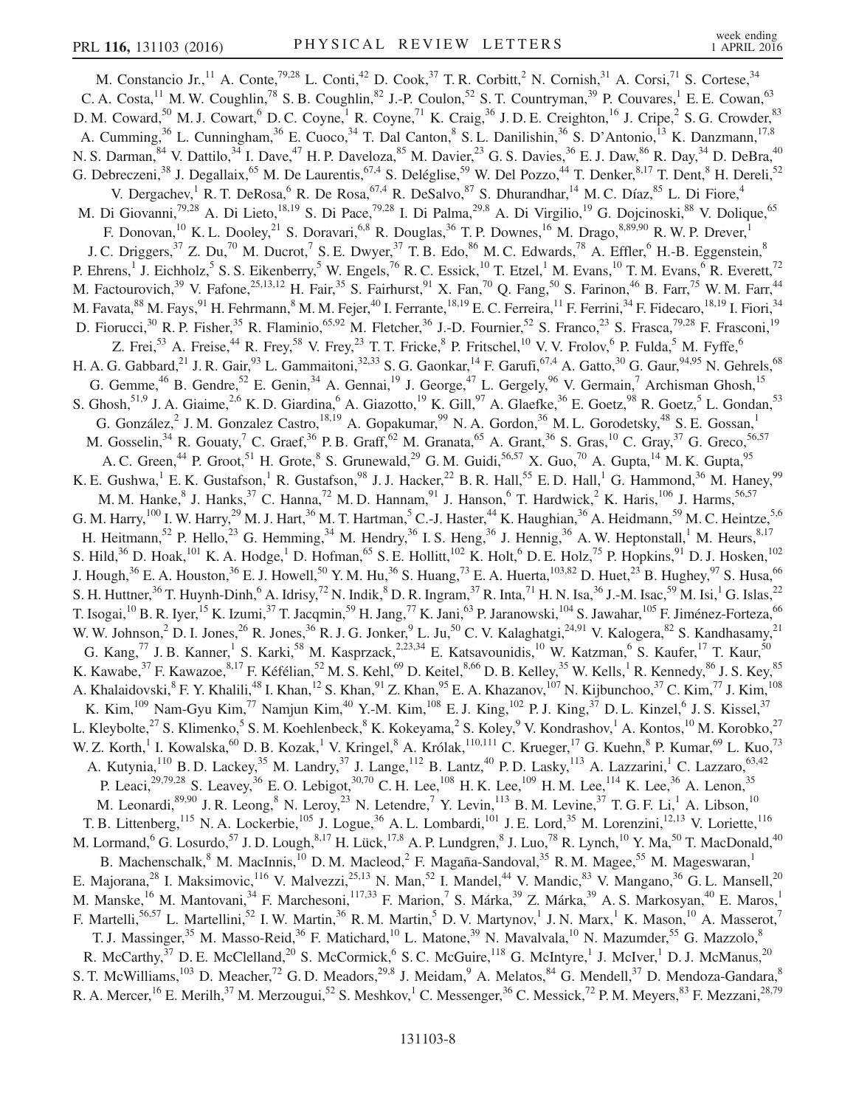M. Constancio Jr.,  $^{11}$  A. Conte,  $^{79,28}$  L. Conti,  $^{42}$  D. Cook,  $^{37}$  T. R. Corbitt,  $^{2}$  N. Cornish,  $^{31}$  A. Corsi,  $^{71}$  S. Cortese,  $^{34}$ C. A. Costa,  $^{11}$  M. W. Coughlin,  $^{78}$  S. B. Coughlin,  $^{82}$  J.-P. Coulon,  $^{52}$  S. T. Countryman,  $^{39}$  P. Couvares,  $^{1}$  E. E. Cowan,  $^{63}$ D. M. Coward,<sup>50</sup> M. J. Cowart,<sup>6</sup> D. C. Coyne,<sup>1</sup> R. Coyne,<sup>71</sup> K. Craig,<sup>36</sup> J. D. E. Creighton,<sup>16</sup> J. Cripe,<sup>2</sup> S. G. Crowder,<sup>83</sup> A. Cumming,<sup>36</sup> L. Cunningham,<sup>36</sup> E. Cuoco,<sup>34</sup> T. Dal Canton,<sup>8</sup> S. L. Danilishin,<sup>36</sup> S. D'Antonio,<sup>13</sup> K. Danzmann,<sup>17,8</sup> N. S. Darman, <sup>84</sup> V. Dattilo, <sup>34</sup> I. Dave, <sup>47</sup> H. P. Daveloza, <sup>85</sup> M. Davier, <sup>23</sup> G. S. Davies, <sup>36</sup> E. J. Daw, <sup>86</sup> R. Day, <sup>34</sup> D. DeBra, <sup>40</sup> G. Debreczeni,<sup>38</sup> J. Degallaix,<sup>65</sup> M. De Laurentis,<sup>67,4</sup> S. Deléglise,<sup>59</sup> W. Del Pozzo,<sup>44</sup> T. Denker,<sup>8,17</sup> T. Dent,<sup>8</sup> H. Dereli,<sup>52</sup> V. Dergachev, <sup>1</sup> R. T. DeRosa, <sup>6</sup> R. De Rosa, <sup>67,4</sup> R. DeSalvo, <sup>87</sup> S. Dhurandhar, <sup>14</sup> M. C. Díaz, <sup>85</sup> L. Di Fiore, <sup>4</sup> M. Di Giovanni,<sup>79,28</sup> A. Di Lieto,<sup>18,19</sup> S. Di Pace,<sup>79,28</sup> I. Di Palma,<sup>29,8</sup> A. Di Virgilio,<sup>19</sup> G. Dojcinoski,<sup>88</sup> V. Dolique,<sup>65</sup> F. Donovan,<sup>10</sup> K. L. Dooley,<sup>21</sup> S. Doravari,<sup>6,8</sup> R. Douglas,<sup>36</sup> T. P. Downes,<sup>16</sup> M. Drago,  $8,89,90$  R. W. P. Drever, J. C. Driggers,  $37$  Z. Du,  $70$  M. Ducrot,  $7$  S. E. Dwyer,  $37$  T. B. Edo,  $86$  M. C. Edwards,  $78$  A. Effler,  $6$  H.-B. Eggenstein,  $8$ P. Ehrens,<sup>1</sup> J. Eichholz,<sup>5</sup> S. S. Eikenberry,<sup>5</sup> W. Engels,<sup>76</sup> R. C. Essick,<sup>10</sup> T. Etzel,<sup>1</sup> M. Evans,<sup>10</sup> T. M. Evans,<sup>6</sup> R. Everett,<sup>72</sup> M. Factourovich,<sup>39</sup> V. Fafone,<sup>25,13,12</sup> H. Fair,<sup>35</sup> S. Fairhurst,<sup>91</sup> X. Fan,<sup>70</sup> Q. Fang,<sup>50</sup> S. Farinon,<sup>46</sup> B. Farr,<sup>75</sup> W. M. Farr,<sup>44</sup> M. Favata, $^{88}$  M. Fays, $^{91}$  H. Fehrmann, $^8$  M. M. Fejer, $^{40}$  I. Ferrante, $^{18,19}$  E. C. Ferreira, $^{11}$  F. Ferrini, $^{34}$  F. Fidecaro, $^{18,19}$  I. Fiori, $^{34}$ D. Fiorucci,<sup>30</sup> R. P. Fisher,<sup>35</sup> R. Flaminio,<sup>65,92</sup> M. Fletcher,<sup>36</sup> J.-D. Fournier,<sup>52</sup> S. Franco,<sup>23</sup> S. Frasca,<sup>79,28</sup> F. Frasconi,<sup>19</sup> Z. Frei,<sup>53</sup> A. Freise,<sup>44</sup> R. Frey,<sup>58</sup> V. Frey,<sup>23</sup> T. T. Fricke,<sup>8</sup> P. Fritschel,<sup>10</sup> V. V. Frolov,<sup>6</sup> P. Fulda,<sup>5</sup> M. Fyffe,<sup>6</sup> H. A. G. Gabbard,<sup>21</sup> J. R. Gair,<sup>93</sup> L. Gammaitoni,<sup>32,33</sup> S. G. Gaonkar,<sup>14</sup> F. Garufi,<sup>67,4</sup> A. Gatto,<sup>30</sup> G. Gaur,<sup>94,95</sup> N. Gehrels,<sup>68</sup> G. Gemme,  $^{46}$  B. Gendre,  $^{52}$  E. Genin,  $^{34}$  A. Gennai,  $^{19}$  J. George,  $^{47}$  L. Gergely,  $^{96}$  V. Germain,  $^{7}$  Archisman Ghosh,  $^{15}$ S. Ghosh,<sup>51,9</sup> J. A. Giaime,<sup>2,6</sup> K. D. Giardina,<sup>6</sup> A. Giazotto,<sup>19</sup> K. Gill,<sup>97</sup> A. Glaefke,<sup>36</sup> E. Goetz,<sup>98</sup> R. Goetz,<sup>5</sup> L. Gondan,<sup>53</sup> G. González, $^2$  J. M. Gonzalez Castro, $^{18,19}$  A. Gopakumar, $^{99}$  N. A. Gordon, $^{36}$  M. L. Gorodetsky, $^{48}$  S. E. Gossan, $^1$ M. Gosselin,<sup>34</sup> R. Gouaty,<sup>7</sup> C. Graef,<sup>36</sup> P. B. Graff,<sup>62</sup> M. Granata,<sup>65</sup> A. Grant,<sup>36</sup> S. Gras,<sup>10</sup> C. Gray,<sup>37</sup> G. Greco,<sup>56,57</sup> A. C. Green,<sup>44</sup> P. Groot,<sup>51</sup> H. Grote,<sup>8</sup> S. Grunewald,<sup>29</sup> G. M. Guidi,<sup>56,57</sup> X. Guo,<sup>70</sup> A. Gupta,<sup>14</sup> M. K. Gupta,<sup>95</sup> K. E. Gushwa,<sup>1</sup> E. K. Gustafson,<sup>1</sup> R. Gustafson,<sup>98</sup> J. J. Hacker,<sup>22</sup> B. R. Hall,<sup>55</sup> E. D. Hall,<sup>1</sup> G. Hammond,<sup>36</sup> M. Haney,<sup>99</sup> M. M. Hanke, <sup>8</sup> J. Hanks,<sup>37</sup> C. Hanna,<sup>72</sup> M. D. Hannam,<sup>91</sup> J. Hanson,<sup>6</sup> T. Hardwick,<sup>2</sup> K. Haris,<sup>106</sup> J. Harms,<sup>56,57</sup> G. M. Harry,<sup>100</sup> I. W. Harry,<sup>29</sup> M. J. Hart,<sup>36</sup> M. T. Hartman,<sup>5</sup> C.-J. Haster,<sup>44</sup> K. Haughian,<sup>36</sup> A. Heidmann,<sup>59</sup> M. C. Heintze,<sup>5,6</sup> H. Heitmann,<sup>52</sup> P. Hello,<sup>23</sup> G. Hemming,<sup>34</sup> M. Hendry,<sup>36</sup> I. S. Heng,<sup>36</sup> J. Hennig,<sup>36</sup> A. W. Heptonstall,<sup>1</sup> M. Heurs,<sup>8,17</sup> S. Hild,<sup>36</sup> D. Hoak,<sup>101</sup> K. A. Hodge,<sup>1</sup> D. Hofman,<sup>65</sup> S. E. Hollitt,<sup>102</sup> K. Holt,<sup>6</sup> D. E. Holz,<sup>75</sup> P. Hopkins,<sup>91</sup> D. J. Hosken,<sup>102</sup> J. Hough,<sup>36</sup> E. A. Houston,<sup>36</sup> E. J. Howell,<sup>50</sup> Y. M. Hu,<sup>36</sup> S. Huang,<sup>73</sup> E. A. Huerta,<sup>103,82</sup> D. Huet,<sup>23</sup> B. Hughey,<sup>97</sup> S. Husa,<sup>66</sup> S. H. Huttner,<sup>36</sup> T. Huynh-Dinh,<sup>6</sup> A. Idrisy,<sup>72</sup> N. Indik,<sup>8</sup> D. R. Ingram,<sup>37</sup> R. Inta,<sup>71</sup> H. N. Isa,<sup>36</sup> J.-M. Isac,<sup>59</sup> M. Isi,<sup>1</sup> G. Islas,<sup>22</sup> T. Isogai,<sup>10</sup> B. R. Iyer,<sup>15</sup> K. Izumi,<sup>37</sup> T. Jacqmin,<sup>59</sup> H. Jang,<sup>77</sup> K. Jani,<sup>63</sup> P. Jaranowski,<sup>104</sup> S. Jawahar,<sup>105</sup> F. Jiménez-Forteza,<sup>66</sup> W. W. Johnson,  $2^{\circ}$  D. I. Jones,  $2^{\circ}$  R. Jones,  $3^{\circ}$  R. J. G. Jonker,  $9^{\circ}$  L. Ju,  $5^{\circ}$  C. V. Kalaghatgi,  $2^{4,91}$  V. Kalogera,  $8^{\circ}$  S. Kandhasamy,  $2^{\circ}$ G. Kang,<sup>77</sup> J. B. Kanner,<sup>1</sup> S. Karki,<sup>58</sup> M. Kasprzack,<sup>2,23,34</sup> E. Katsavounidis,<sup>10</sup> W. Katzman,<sup>6</sup> S. Kaufer,<sup>17</sup> T. Kaur,<sup>50</sup> K. Kawabe, $^{37}$  F. Kawazoe, $^{8,17}$  F. Kéfélian, $^{52}$  M. S. Kehl, $^{69}$  D. Keitel, $^{8,66}$  D. B. Kelley, $^{35}$  W. Kells,  $^1$  R. Kennedy, $^{86}$  J. S. Key, $^{85}$ A. Khalaidovski, <sup>8</sup> F. Y. Khalili, <sup>48</sup> I. Khan, <sup>12</sup> S. Khan, <sup>91</sup> Z. Khan, <sup>95</sup> E. A. Khazanov, <sup>107</sup> N. Kijbunchoo, <sup>37</sup> C. Kim, <sup>77</sup> J. Kim, <sup>108</sup> K. Kim, $^{109}$  Nam-Gyu Kim, $^{77}$  Namjun Kim, $^{40}$  Y.-M. Kim, $^{108}$  E. J. King, $^{102}$  P. J. King, $^{37}$  D. L. Kinzel, $^6$  J. S. Kissel, $^{37}$ L. Kleybolte,<sup>27</sup> S. Klimenko,<sup>5</sup> S. M. Koehlenbeck,<sup>8</sup> K. Kokeyama,<sup>2</sup> S. Koley,<sup>9</sup> V. Kondrashov,<sup>1</sup> A. Kontos,<sup>10</sup> M. Korobko,<sup>27</sup> W. Z. Korth,<sup>1</sup> I. Kowalska,<sup>60</sup> D. B. Kozak,<sup>1</sup> V. Kringel,<sup>8</sup> A. Królak,<sup>110,111</sup> C. Krueger,<sup>17</sup> G. Kuehn,<sup>8</sup> P. Kumar,<sup>69</sup> L. Kuo,<sup>73</sup> A. Kutynia,<sup>110</sup> B. D. Lackey,<sup>35</sup> M. Landry,<sup>37</sup> J. Lange,<sup>112</sup> B. Lantz,<sup>40</sup> P. D. Lasky,<sup>113</sup> A. Lazzarini,<sup>1</sup> C. Lazzaro,<sup>63,42</sup> P. Leaci,<sup>29,79,28</sup> S. Leavey,<sup>36</sup> E. O. Lebigot,<sup>30,70</sup> C. H. Lee,<sup>108</sup> H. K. Lee,<sup>109</sup> H. M. Lee,<sup>114</sup> K. Lee,<sup>36</sup> A. Lenon,<sup>35</sup> M. Leonardi,<sup>89,90</sup> J. R. Leong, <sup>8</sup> N. Leroy, <sup>23</sup> N. Letendre, <sup>7</sup> Y. Levin, <sup>113</sup> B. M. Levine, <sup>37</sup> T. G. F. Li, <sup>1</sup> A. Libson, <sup>10</sup> T. B. Littenberg, <sup>115</sup> N. A. Lockerbie, <sup>105</sup> J. Logue, <sup>36</sup> A. L. Lombardi, <sup>101</sup> J. E. Lord, <sup>35</sup> M. Lorenzini, <sup>12, 13</sup> V. Loriette, <sup>116</sup> M. Lormand,<sup>6</sup> G. Losurdo,<sup>57</sup> J. D. Lough,<sup>8,17</sup> H. Lück,<sup>17,8</sup> A. P. Lundgren,<sup>8</sup> J. Luo,<sup>78</sup> R. Lynch,<sup>10</sup> Y. Ma,<sup>50</sup> T. MacDonald,<sup>40</sup> B. Machenschalk,<sup>8</sup> M. MacInnis,<sup>10</sup> D. M. Macleod,<sup>2</sup> F. Magaña-Sandoval,<sup>35</sup> R. M. Magee,<sup>55</sup> M. Mageswaran,<sup>1</sup> E. Majorana,<sup>28</sup> I. Maksimovic,<sup>116</sup> V. Malvezzi,<sup>25,13</sup> N. Man,<sup>52</sup> I. Mandel,<sup>44</sup> V. Mandic,<sup>83</sup> V. Mangano,<sup>36</sup> G. L. Mansell,<sup>20</sup> M. Manske,<sup>16</sup> M. Mantovani,<sup>34</sup> F. Marchesoni,<sup>117,33</sup> F. Marion,<sup>7</sup> S. Márka,<sup>39</sup> Z. Márka,<sup>39</sup> A. S. Markosyan,<sup>40</sup> E. Maros,<sup>1</sup> F. Martelli,<sup>56,57</sup> L. Martellini,<sup>52</sup> I. W. Martin,<sup>36</sup> R. M. Martin,<sup>5</sup> D. V. Martynov,<sup>1</sup> J. N. Marx,<sup>1</sup> K. Mason,<sup>10</sup> A. Masserot,<sup>7</sup> T. J. Massinger,<sup>35</sup> M. Masso-Reid,<sup>36</sup> F. Matichard,<sup>10</sup> L. Matone,<sup>39</sup> N. Mavalvala,<sup>10</sup> N. Mazumder,<sup>55</sup> G. Mazzolo,<sup>8</sup> R. McCarthy,<sup>37</sup> D. E. McClelland,<sup>20</sup> S. McCormick,<sup>6</sup> S. C. McGuire,<sup>118</sup> G. McIntyre,<sup>1</sup> J. McIver,<sup>1</sup> D. J. McManus,<sup>20</sup> S. T. McWilliams,<sup>103</sup> D. Meacher,<sup>72</sup> G. D. Meadors,<sup>29,8</sup> J. Meidam,<sup>9</sup> A. Melatos,<sup>84</sup> G. Mendell,<sup>37</sup> D. Mendoza-Gandara,<sup>8</sup> R. A. Mercer, <sup>16</sup> E. Merilh, <sup>37</sup> M. Merzougui, <sup>52</sup> S. Meshkov, <sup>1</sup> C. Messenger, <sup>36</sup> C. Messick, <sup>72</sup> P. M. Meyers, <sup>83</sup> F. Mezzani, <sup>28,79</sup>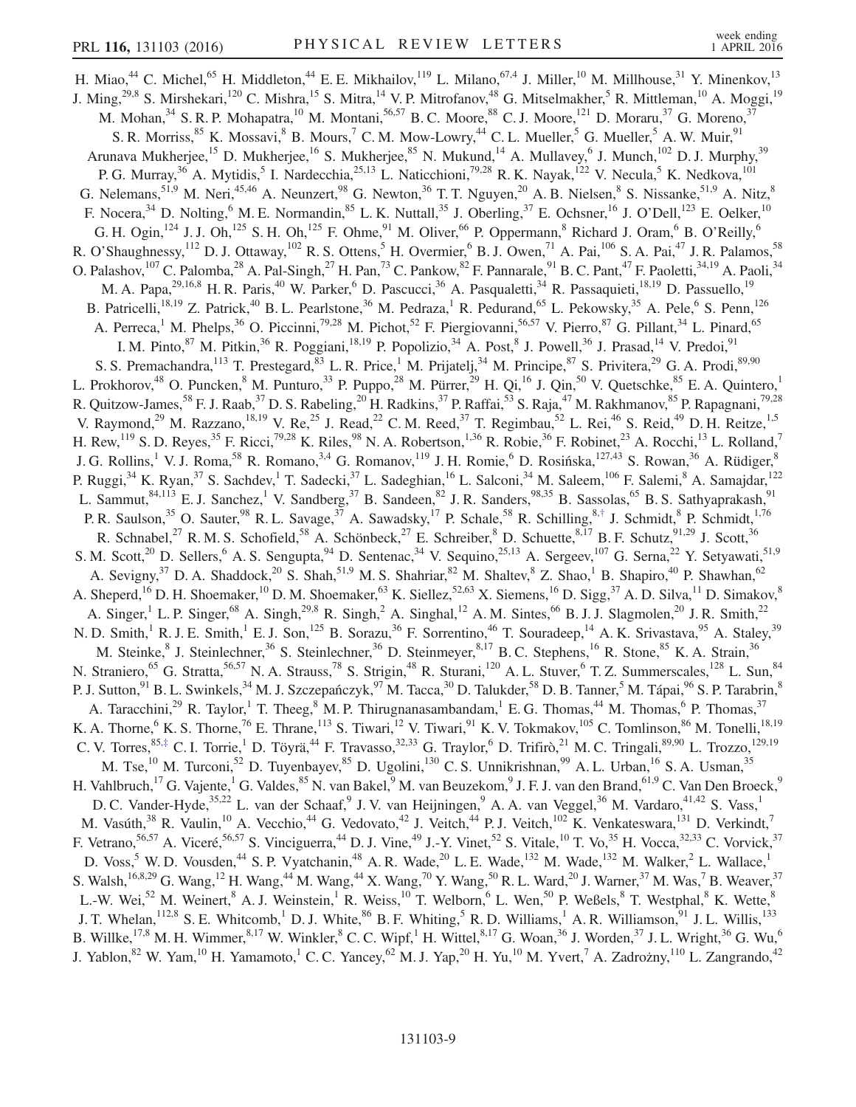<span id="page-9-1"></span><span id="page-9-0"></span>H. Miao,<sup>44</sup> C. Michel,<sup>65</sup> H. Middleton,<sup>44</sup> E. E. Mikhailov,<sup>119</sup> L. Milano,<sup>67,4</sup> J. Miller,<sup>10</sup> M. Millhouse,<sup>31</sup> Y. Minenkov,<sup>13</sup> J. Ming,<sup>29,8</sup> S. Mirshekari,<sup>120</sup> C. Mishra,<sup>15</sup> S. Mitra,<sup>14</sup> V. P. Mitrofanov,<sup>48</sup> G. Mitselmakher,<sup>5</sup> R. Mittleman,<sup>10</sup> A. Moggi,<sup>19</sup> M. Mohan,<sup>34</sup> S. R. P. Mohapatra,<sup>10</sup> M. Montani,<sup>56,57</sup> B. C. Moore,<sup>88</sup> C. J. Moore,<sup>121</sup> D. Moraru,<sup>37</sup> G. Moreno,<sup>37</sup> S. R. Morriss, <sup>85</sup> K. Mossavi, <sup>8</sup> B. Mours, <sup>7</sup> C. M. Mow-Lowry, <sup>44</sup> C. L. Mueller, <sup>5</sup> G. Mueller, <sup>5</sup> A. W. Muir, <sup>91</sup> Arunava Mukherjee,<sup>15</sup> D. Mukherjee,<sup>16</sup> S. Mukherjee,<sup>85</sup> N. Mukund,<sup>14</sup> A. Mullavey,<sup>6</sup> J. Munch,<sup>102</sup> D. J. Murphy,<sup>39</sup> P. G. Murray,<sup>36</sup> A. Mytidis,<sup>5</sup> I. Nardecchia,<sup>25,13</sup> L. Naticchioni,<sup>79,28</sup> R. K. Nayak,<sup>122</sup> V. Necula,<sup>5</sup> K. Nedkova,<sup>101</sup> G. Nelemans,  $51.9$  M. Neri,  $45.46$  A. Neunzert,  $98$  G. Newton,  $36$  T. T. Nguyen,  $20$  A. B. Nielsen,  $8$  S. Nissanke,  $51.9$  A. Nitz,  $8$ F. Nocera,  $34$  D. Nolting,  $6$  M. E. Normandin,  $85$  L. K. Nuttall,  $35$  J. Oberling,  $37$  E. Ochsner,  $16$  J. O'Dell,  $123$  E. Oelker,  $10$ G. H. Ogin,<sup>124</sup> J. J. Oh,<sup>125</sup> S. H. Oh,<sup>125</sup> F. Ohme,<sup>91</sup> M. Oliver,<sup>66</sup> P. Oppermann,<sup>8</sup> Richard J. Oram,<sup>6</sup> B. O'Reilly,<sup>6</sup> R. O'Shaughnessy,<sup>112</sup> D. J. Ottaway,<sup>102</sup> R. S. Ottens,<sup>5</sup> H. Overmier,<sup>6</sup> B. J. Owen,<sup>71</sup> A. Pai,<sup>106</sup> S. A. Pai,<sup>47</sup> J. R. Palamos,<sup>58</sup> O. Palashov,<sup>107</sup> C. Palomba,<sup>28</sup> A. Pal-Singh,<sup>27</sup> H. Pan,<sup>73</sup> C. Pankow,<sup>82</sup> F. Pannarale,<sup>91</sup> B. C. Pant,<sup>47</sup> F. Paoletti,<sup>34,19</sup> A. Paoli,<sup>34</sup> M. A. Papa,<sup>29,16,8</sup> H. R. Paris,<sup>40</sup> W. Parker,<sup>6</sup> D. Pascucci,<sup>36</sup> A. Pasqualetti,<sup>34</sup> R. Passaquieti,<sup>18,19</sup> D. Passuello,<sup>19</sup> B. Patricelli,<sup>18,19</sup> Z. Patrick,<sup>40</sup> B. L. Pearlstone,<sup>36</sup> M. Pedraza,<sup>1</sup> R. Pedurand,<sup>65</sup> L. Pekowsky,<sup>35</sup> A. Pele,<sup>6</sup> S. Penn,<sup>126</sup> A. Perreca,<sup>1</sup> M. Phelps,<sup>36</sup> O. Piccinni,<sup>79,28</sup> M. Pichot,<sup>52</sup> F. Piergiovanni,<sup>56,57</sup> V. Pierro,<sup>87</sup> G. Pillant,<sup>34</sup> L. Pinard,<sup>65</sup> I. M. Pinto, <sup>87</sup> M. Pitkin, <sup>36</sup> R. Poggiani, <sup>18,19</sup> P. Popolizio, <sup>34</sup> A. Post, <sup>8</sup> J. Powell, <sup>36</sup> J. Prasad, <sup>14</sup> V. Predoi, <sup>91</sup> S. S. Premachandra, <sup>113</sup> T. Prestegard, <sup>83</sup> L. R. Price, <sup>1</sup> M. Prijatelj, <sup>34</sup> M. Principe, <sup>87</sup> S. Privitera, <sup>29</sup> G. A. Prodi, <sup>89,90</sup> L. Prokhorov,<sup>48</sup> O. Puncken,<sup>8</sup> M. Punturo,<sup>33</sup> P. Puppo,<sup>28</sup> M. Pürrer,<sup>29</sup> H. Qi,<sup>16</sup> J. Qin,<sup>50</sup> V. Quetschke,<sup>85</sup> E. A. Quintero,<sup>1</sup> R. Quitzow-James,<sup>58</sup> F. J. Raab,<sup>37</sup> D. S. Rabeling,<sup>20</sup> H. Radkins,<sup>37</sup> P. Raffai,<sup>53</sup> S. Raja,<sup>47</sup> M. Rakhmanov,<sup>85</sup> P. Rapagnani,<sup>79,28</sup> V. Raymond,<sup>29</sup> M. Razzano,<sup>18,19</sup> V. Re,<sup>25</sup> J. Read,<sup>22</sup> C. M. Reed,<sup>37</sup> T. Regimbau,<sup>52</sup> L. Rei,<sup>46</sup> S. Reid,<sup>49</sup> D. H. Reitze,<sup>1,5</sup> H. Rew,<sup>119</sup> S. D. Reyes,<sup>35</sup> F. Ricci,<sup>79,28</sup> K. Riles,<sup>98</sup> N. A. Robertson,<sup>1,36</sup> R. Robie,<sup>36</sup> F. Robinet,<sup>23</sup> A. Rocchi,<sup>13</sup> L. Rolland,<sup>7</sup> J. G. Rollins,<sup>1</sup> V. J. Roma,<sup>58</sup> R. Romano,<sup>3,4</sup> G. Romanov,<sup>119</sup> J. H. Romie,<sup>6</sup> D. Rosińska,<sup>127,43</sup> S. Rowan,<sup>36</sup> A. Rüdiger,<sup>8</sup> P. Ruggi,<sup>34</sup> K. Ryan,<sup>37</sup> S. Sachdev,<sup>1</sup> T. Sadecki,<sup>37</sup> L. Sadeghian,<sup>16</sup> L. Salconi,<sup>34</sup> M. Saleem,<sup>106</sup> F. Salemi,<sup>8</sup> A. Samajdar,<sup>122</sup> L. Sammut,  $84,113$  E. J. Sanchez, <sup>1</sup> V. Sandberg,  $37$  B. Sandeen,  $82$  J. R. Sanders,  $98,35$  B. Sassolas,  $65$  B. S. Sathyaprakash,  $91$ P. R. Saulson,<sup>35</sup> O. Sauter,<sup>98</sup> R. L. Savage,<sup>37</sup> A. Sawadsky,<sup>17</sup> P. Schale,<sup>58</sup> R. Schilling,<sup>8,[†](#page-12-0)</sup> J. Schmidt,<sup>8</sup> P. Schmidt,<sup>1,76</sup> R. Schnabel,<sup>27</sup> R. M. S. Schofield,<sup>58</sup> A. Schönbeck,<sup>27</sup> E. Schreiber,<sup>8</sup> D. Schuette,<sup>8,17</sup> B. F. Schutz,<sup>91,29</sup> J. Scott,<sup>36</sup> S. M. Scott,<sup>20</sup> D. Sellers,<sup>6</sup> A. S. Sengupta,<sup>94</sup> D. Sentenac,<sup>34</sup> V. Sequino,<sup>25,13</sup> A. Sergeev,<sup>107</sup> G. Serna,<sup>22</sup> Y. Setyawati,<sup>51,9</sup> A. Sevigny,<sup>37</sup> D. A. Shaddock,<sup>20</sup> S. Shah,<sup>51,9</sup> M. S. Shahriar,<sup>82</sup> M. Shaltev,<sup>8</sup> Z. Shao,<sup>1</sup> B. Shapiro,<sup>40</sup> P. Shawhan,<sup>62</sup> A. Sheperd,<sup>16</sup> D. H. Shoemaker,<sup>10</sup> D. M. Shoemaker,<sup>63</sup> K. Siellez,<sup>52,63</sup> X. Siemens,<sup>16</sup> D. Sigg,<sup>37</sup> A. D. Silva,<sup>11</sup> D. Simakov,<sup>8</sup> A. Singer,<sup>1</sup> L. P. Singer,<sup>68</sup> A. Singh,<sup>29,8</sup> R. Singh,<sup>2</sup> A. Singhal,<sup>12</sup> A. M. Sintes,<sup>66</sup> B. J. J. Slagmolen,<sup>20</sup> J. R. Smith,<sup>22</sup> N. D. Smith,<sup>1</sup> R. J. E. Smith,<sup>1</sup> E. J. Son,<sup>125</sup> B. Sorazu,<sup>36</sup> F. Sorrentino,<sup>46</sup> T. Souradeep,<sup>14</sup> A. K. Srivastava,<sup>95</sup> A. Staley,<sup>39</sup> M. Steinke, <sup>8</sup> J. Steinlechner, <sup>36</sup> S. Steinlechner, <sup>36</sup> D. Steinmeyer, <sup>8,17</sup> B. C. Stephens, <sup>16</sup> R. Stone, <sup>85</sup> K. A. Strain, <sup>36</sup> N. Straniero,<sup>65</sup> G. Stratta,<sup>56,57</sup> N. A. Strauss,<sup>78</sup> S. Strigin,<sup>48</sup> R. Sturani,<sup>120</sup> A. L. Stuver,<sup>6</sup> T. Z. Summerscales,<sup>128</sup> L. Sun,<sup>84</sup> P. J. Sutton,<sup>91</sup> B. L. Swinkels,<sup>34</sup> M. J. Szczepańczyk,<sup>97</sup> M. Tacca,<sup>30</sup> D. Talukder,<sup>58</sup> D. B. Tanner,<sup>5</sup> M. Tápai,<sup>96</sup> S. P. Tarabrin,<sup>8</sup> A. Taracchini,<sup>29</sup> R. Taylor,<sup>1</sup> T. Theeg,<sup>8</sup> M. P. Thirugnanasambandam,<sup>1</sup> E. G. Thomas,<sup>44</sup> M. Thomas,<sup>6</sup> P. Thomas,<sup>37</sup> K. A. Thorne,  $6$  K. S. Thorne,  $76$  E. Thrane,  $^{113}$  S. Tiwari,  $^{12}$  V. Tiwari,  $^{91}$  K. V. Tokmakov,  $^{105}$  C. Tomlinson,  $^{86}$  M. Tonelli,  $^{18,19}$ C. V. Torres,  $85, \pm$  C. I. Torrie,  $^{1}$  D. Töyrä,  $^{44}$  F. Travasso,  $32,33$  G. Traylor,  $^{6}$  D. Trifirò,  $^{21}$  M. C. Tringali,  $89,90$  L. Trozzo,  $129,19$ M. Tse,<sup>10</sup> M. Turconi,<sup>52</sup> D. Tuyenbayev,<sup>85</sup> D. Ugolini,<sup>130</sup> C. S. Unnikrishnan,<sup>99</sup> A. L. Urban,<sup>16</sup> S. A. Usman,<sup>35</sup> H. Vahlbruch,<sup>17</sup> G. Vajente,<sup>1</sup> G. Valdes,<sup>85</sup> N. van Bakel,<sup>9</sup> M. van Beuzekom,<sup>9</sup> J. F. J. van den Brand,<sup>61,9</sup> C. Van Den Broeck,<sup>9</sup> D. C. Vander-Hyde,<sup>35,22</sup> L. van der Schaaf,<sup>9</sup> J. V. van Heijningen,<sup>9</sup> A. A. van Veggel,<sup>36</sup> M. Vardaro,<sup>41,42</sup> S. Vass,<sup>1</sup> M. Vasúth,<sup>38</sup> R. Vaulin,<sup>10</sup> A. Vecchio,<sup>44</sup> G. Vedovato,<sup>42</sup> J. Veitch,<sup>44</sup> P. J. Veitch,<sup>102</sup> K. Venkateswara,<sup>131</sup> D. Verkindt,<sup>7</sup> F. Vetrano,<sup>56,57</sup> A. Viceré,<sup>56,57</sup> S. Vinciguerra,<sup>44</sup> D. J. Vine,<sup>49</sup> J.-Y. Vinet,<sup>52</sup> S. Vitale,<sup>10</sup> T. Vo,<sup>35</sup> H. Vocca,<sup>32,33</sup> C. Vorvick,<sup>37</sup> D. Voss,<sup>5</sup> W. D. Vousden,<sup>44</sup> S. P. Vyatchanin,<sup>48</sup> A. R. Wade,<sup>20</sup> L. E. Wade,<sup>132</sup> M. Wade,<sup>132</sup> M. Walker,<sup>2</sup> L. Wallace,<sup>1</sup> S. Walsh,<sup>16,8,29</sup> G. Wang,<sup>12</sup> H. Wang,<sup>44</sup> M. Wang,<sup>44</sup> X. Wang,<sup>70</sup> Y. Wang,<sup>50</sup> R. L. Ward,<sup>20</sup> J. Warner,<sup>37</sup> M. Was,<sup>7</sup> B. Weaver,<sup>37</sup> L.-W. Wei,<sup>52</sup> M. Weinert,<sup>8</sup> A. J. Weinstein,<sup>1</sup> R. Weiss,<sup>10</sup> T. Welborn,<sup>6</sup> L. Wen,<sup>50</sup> P. Weßels,<sup>8</sup> T. Westphal,<sup>8</sup> K. Wette,<sup>8</sup> J. T. Whelan,<sup>112,8</sup> S. E. Whitcomb,<sup>1</sup> D. J. White,<sup>86</sup> B. F. Whiting,<sup>5</sup> R. D. Williams,<sup>1</sup> A. R. Williamson,<sup>91</sup> J. L. Willis,<sup>133</sup> B. Willke,<sup>17,8</sup> M. H. Wimmer,<sup>8,17</sup> W. Winkler,<sup>8</sup> C. C. Wipf,<sup>1</sup> H. Wittel,<sup>8,17</sup> G. Woan,<sup>36</sup> J. Worden,<sup>37</sup> J. L. Wright,<sup>36</sup> G. Wu,<sup>6</sup> J. Yablon,<sup>82</sup> W. Yam,<sup>10</sup> H. Yamamoto,<sup>1</sup> C. C. Yancey,<sup>62</sup> M. J. Yap,<sup>20</sup> H. Yu,<sup>10</sup> M. Yvert,<sup>7</sup> A. Zadrożny,<sup>110</sup> L. Zangrando,<sup>42</sup>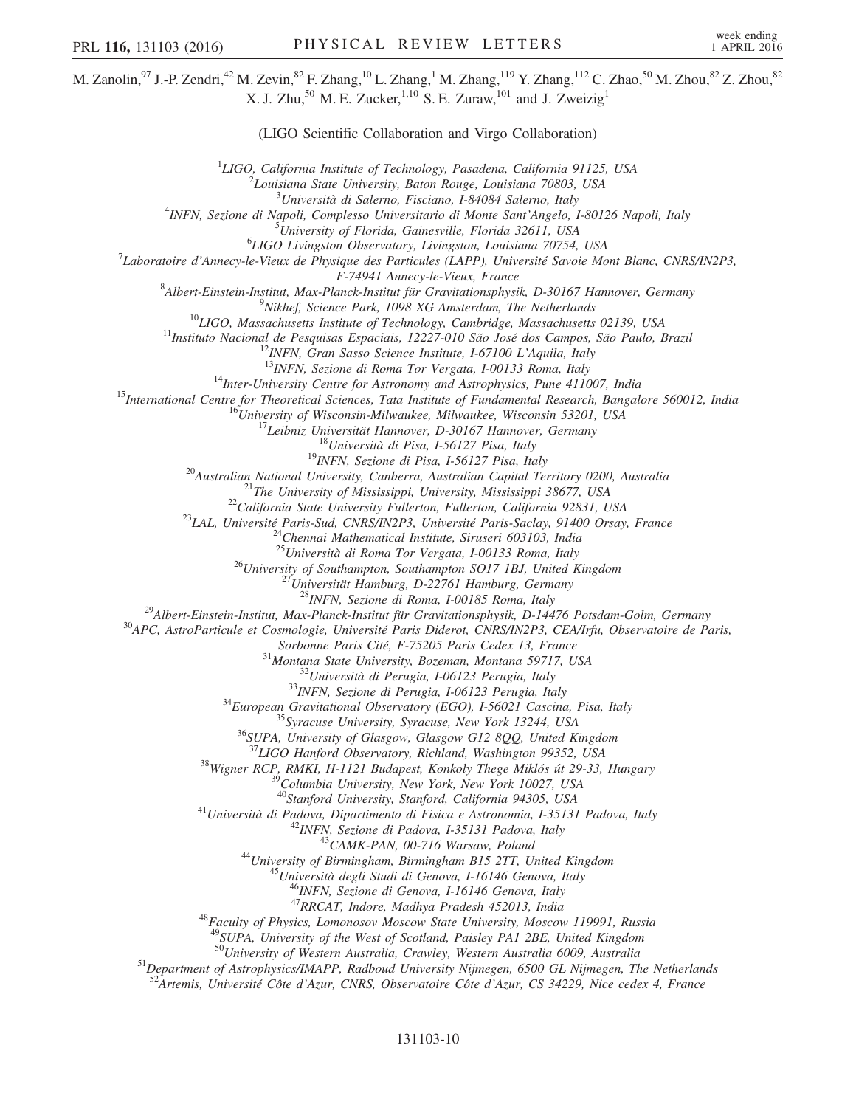M. Zanolin, <sup>97</sup> J.-P. Zendri, <sup>42</sup> M. Zevin, <sup>82</sup> F. Zhang, <sup>10</sup> L. Zhang, <sup>1</sup> M. Zhang, <sup>119</sup> Y. Zhang, <sup>112</sup> C. Zhao, <sup>50</sup> M. Zhou, <sup>82</sup> Z. Zhou, <sup>82</sup> X. J. Zhu,<sup>50</sup> M. E. Zucker,<sup>1,10</sup> S. E. Zuraw,<sup>101</sup> and J. Zweizig<sup>1</sup> (LIGO Scientific Collaboration and Virgo Collaboration) <sup>1</sup>LIGO, California Institute of Technology, Pasadena, California 91125, USA<br> $\frac{2}{5}I$  quisique State University, Pator Pouce, Louisique 70803, USA  $^{2}$ Louisiana State University, Baton Rouge, Louisiana 70803, USA<br> $^{3}$ Università di Salerno, Fisciano, I-84084 Salerno, Italy  $^{3}$ Università di Salerno, Fisciano, I-84084 Salerno, Italy  $^{4}$ IMEM, Seriena di Mandi, Canplessa Universitatio di Mante Sant'Angele INFN, Sezione di Napoli, Complesso Universitario di Monte Sant'Angelo, I-80126 Napoli, Italy<br>5 Università di Florida Cainemilla, Florida 32611, USA  ${}^{5}$ University of Florida, Gainesville, Florida 32611, USA  ${}^{6}LIGO$  Livingston Observatory, Livingston, Louisiana 70754, USA <sup>7</sup>Laboratoire d'Annecy-le-Vieux de Physique des Particules (LAPP), Université Savoie Mont Blanc, CNRS/IN2P3, F-74941 Annecy-le-Vieux, France<br><sup>8</sup> Albert Einstein Institut, Max Planek Institut für Crewitationsphysi Albert-Einstein-Institut, Max-Planck-Institut für Gravitationsphysik, D-30167 Hannover, Germany<br><sup>9</sup>Nikhaf, Seisnas Bark, 1008 VG Amstardam, The Natharlanda <sup>2</sup>Nikhef, Science Park, 1098 XG Amsterdam, The Netherlands<br><sup>10</sup>LIGO, Massachusetts Institute of Technology, Cambridge, Massachusetts 02139, USA<br><sup>11</sup>Instituto Nacional de Pesquisas Espaciais, 12227-010 São José dos Campos <sup>25</sup>Università di Roma Tor Vergata, I-00133 Roma, Italy<br><sup>26</sup>University of Southampton, Southampton SO17 1BJ, United Kingdom<br><sup>27</sup>Universität Hamburg, D-22761 Hamburg, Germany<br><sup>28</sup>INFN, Sezione di Roma, I-00185 Roma, Italy<br> Sorbonne Paris Cité, F-75205 Paris Cedex 13, France<br>
<sup>31</sup>Montana State University, Bozeman, Montana 59717, USA<br>
<sup>32</sup>Università di Perugia, I-06123 Perugia, Italy<br>
<sup>33</sup>INFN, Sezione di Perugia, I-06123 Perugia, Italy<br>
<sup>34</sup>E <sup>38</sup>Wigner RCP, RMKI, H-1121 Budapest, Konkoly Thege Miklós út 29-33, Hungary <sup>39</sup>Columbia University, New York, New York 10027, USA <sup>40</sup>Stanford University, Stanford, California 94305, USA <sup>41</sup>Università di Padova, Dipartimento di Fisica e Astronomia, I-35131 Padova, Italy<br><sup>42</sup>INFN, Sezione di Padova, I-35131 Padova, Italy<br><sup>43</sup>CAMK-PAN, 00-716 Warsaw, Poland<br><sup>44</sup>University of Birmingham, Birmingham B15 2TT, <sup>48</sup>Faculty of Physics, Lomonosov Moscow State University, Moscow 119991, Russia <sup>49</sup>SUPA, University of the West of Scotland, Paisley PA1 2BE, United Kingdom  $^{50}$ University of Western Australia, Crawley, Western Australia 6009, Australia  $51$ Department of Astrophysics/IMAPP, Radboud University Nijmegen, 6500 GL Nijmegen, The Netherlands  $52$ Artemis, Université Côte d'Azur, CNRS, Observatoire Côte d'Azur, CS 34229, Nice cedex 4, France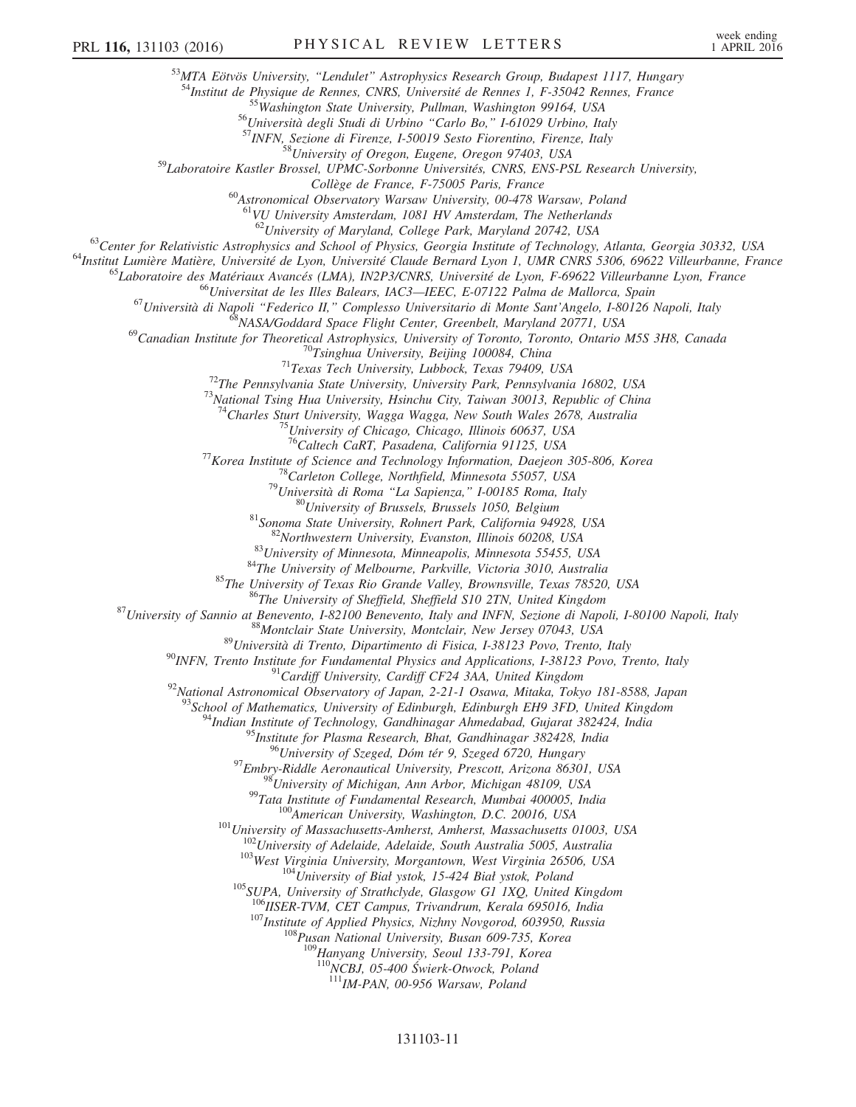<sup>53</sup>MTA Eötvös University, "Lendulet" Astrophysics Research Group, Budapest 1117, Hungary<br><sup>54</sup>Institut de Physique de Rennes, CNRS, Université de Rennes 1, F-35042 Rennes, France<br><sup>55</sup>Washington State University, Pullman,

<sup>59</sup>Laboratoire Kastler Brossel, UPMC-Sorbonne Universités, CNRS, ENS-PSL Research University,<br>Collège de France, F-75005 Paris, France

<sup>60</sup>Astronomical Observatory Warsaw University, 00-478 Warsaw, Poland

 $^{61}$ VU University Amsterdam, 1081 HV Amsterdam, The Netherlands<br> $^{62}$ University of Maryland, College Park, Maryland 20742, USA

<sup>63</sup>Center for Relativistic Astrophysics and School of Physics, Georgia Institute of Technology, Atlanta, Georgia 30332, USA<br><sup>64</sup>Institut Lumière Matière, Université de Lyon, Université Claude Bernard Lyon 1, UMR CNRS 530

<sup>69</sup>Canadian Institute for Theoretical Astrophysics, University of Toronto, Toronto, Ontario M5S 3H8, Canada<br><sup>70</sup>Tsinghua University, Beijing 100084, China<br><sup>71</sup>Texas Tech University, Lubbock, Texas 79409, USA<br><sup>72</sup>The Penn

<sup>74</sup>Charles Sturt University, Wagga Wagga, New South Wales 2678, Australia<br><sup>75</sup>University of Chicago, Chicago, Illinois 60637, USA<br><sup>76</sup>Caltech CaRT, Pasadena, California 91125, USA

 $^{16}$ Caltech CaRT, Pasadena, California 91125, USA<br>  $^{17}$ Korea Institute of Science and Technology Information, Daejeon 305-806, Korea<br>  $^{18}$ Carleton College, Northfield, Minnesota 55057, USA<br>  $^{19}$ Università di Roma

<sup>92</sup>National Astronomical Observatory of Japan, 2-21-1 Osawa, Mitaka, Tokyo 181-8588, Japan<br><sup>93</sup>School of Mathematics, University of Edinburgh, Edinburgh EH9 3FD, United Kingdom<br><sup>94</sup>Indian Institute of Technology, Gandhin

<sup>95</sup>Institute for Plasma Research, Bhat, Gandhinagar 382428, India<br><sup>96</sup>University of Szeged, Dóm tér 9, Szeged 6720, Hungary

<sup>97</sup>Embry-Riddle Aeronautical University, Prescott, Arizona 86301, USA<br><sup>98</sup>University of Michigan, Ann Arbor, Michigan 48109, USA<br><sup>99</sup>Tata Institute of Fundamental Research, Mumbai 400005, India<br><sup>100</sup>American University,

<sup>107</sup>Institute of Applied Physics, Nizhny Novgorod, 603950, Russia  $^{108}$ Pusan National University, Busan 609-735, Korea

<sup>109</sup>Hanyang University, Seoul 133-791, Korea<br><sup>110</sup>NCBJ, 05-400 Świerk-Otwock, Poland

 $111$ IM-PAN, 00-956 Warsaw, Poland

#### 131103-11